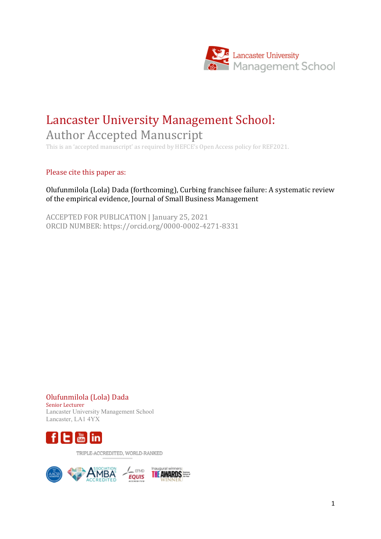

# Lancaster University Management School: Author Accepted Manuscript

This is an 'accepted manuscript' as required by HEFCE's Open Access policy for REF2021.

Please cite this paper as:

## Olufunmilola (Lola) Dada (forthcoming), Curbing franchisee failure: A systematic review of the empirical evidence, Journal of Small Business Management

ACCEPTED FOR PUBLICATION | January 25, 2021 ORCID NUMBER: https://orcid.org/0000-0002-4271-8331

Olufunmilola (Lola) Dada Senior Lecturer Lancaster University Management School Lancaster, LA1 4YX



TRIPLE-ACCREDITED, WORLD-RANKED

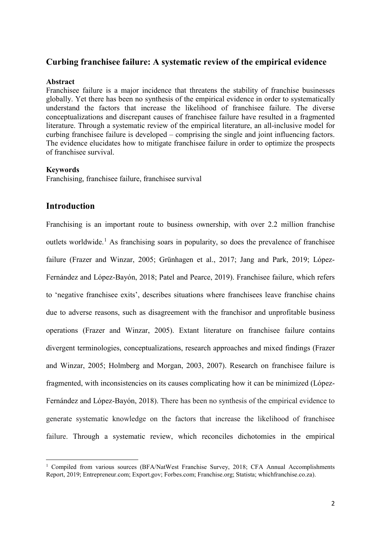## **Curbing franchisee failure: A systematic review of the empirical evidence**

#### **Abstract**

Franchisee failure is a major incidence that threatens the stability of franchise businesses globally. Yet there has been no synthesis of the empirical evidence in order to systematically understand the factors that increase the likelihood of franchisee failure. The diverse conceptualizations and discrepant causes of franchisee failure have resulted in a fragmented literature. Through a systematic review of the empirical literature, an all-inclusive model for curbing franchisee failure is developed – comprising the single and joint influencing factors. The evidence elucidates how to mitigate franchisee failure in order to optimize the prospects of franchisee survival.

#### **Keywords**

Franchising, franchisee failure, franchisee survival

# **Introduction**

Franchising is an important route to business ownership, with over 2.2 million franchise outlets worldwide.<sup>[1](#page-1-0)</sup> As franchising soars in popularity, so does the prevalence of franchisee failure (Frazer and Winzar, 2005; Grünhagen et al., 2017; Jang and Park, 2019; López-Fernández and López-Bayón, 2018; Patel and Pearce, 2019). Franchisee failure, which refers to 'negative franchisee exits', describes situations where franchisees leave franchise chains due to adverse reasons, such as disagreement with the franchisor and unprofitable business operations (Frazer and Winzar, 2005). Extant literature on franchisee failure contains divergent terminologies, conceptualizations, research approaches and mixed findings (Frazer and Winzar, 2005; Holmberg and Morgan, 2003, 2007). Research on franchisee failure is fragmented, with inconsistencies on its causes complicating how it can be minimized (López-Fernández and López-Bayón, 2018). There has been no synthesis of the empirical evidence to generate systematic knowledge on the factors that increase the likelihood of franchisee failure. Through a systematic review, which reconciles dichotomies in the empirical

<span id="page-1-0"></span> <sup>1</sup> Compiled from various sources (BFA/NatWest Franchise Survey, 2018; CFA Annual Accomplishments Report, 2019; Entrepreneur.com; Export.gov; Forbes.com; Franchise.org; Statista; whichfranchise.co.za).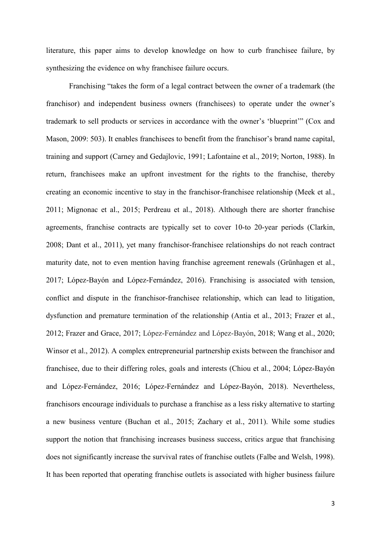literature, this paper aims to develop knowledge on how to curb franchisee failure, by synthesizing the evidence on why franchisee failure occurs.

Franchising "takes the form of a legal contract between the owner of a trademark (the franchisor) and independent business owners (franchisees) to operate under the owner's trademark to sell products or services in accordance with the owner's 'blueprint'" (Cox and Mason, 2009: 503). It enables franchisees to benefit from the franchisor's brand name capital, training and support (Carney and Gedajlovic, 1991; Lafontaine et al., 2019; Norton, 1988). In return, franchisees make an upfront investment for the rights to the franchise, thereby creating an economic incentive to stay in the franchisor-franchisee relationship (Meek et al., 2011; Mignonac et al., 2015; Perdreau et al., 2018). Although there are shorter franchise agreements, franchise contracts are typically set to cover 10-to 20-year periods (Clarkin, 2008; Dant et al., 2011), yet many franchisor-franchisee relationships do not reach contract maturity date, not to even mention having franchise agreement renewals (Grünhagen et al., 2017; López-Bayón and López-Fernández, 2016). Franchising is associated with tension, conflict and dispute in the franchisor-franchisee relationship, which can lead to litigation, dysfunction and premature termination of the relationship (Antia et al., 2013; Frazer et al., 2012; Frazer and Grace, 2017; López-Fernández and López-Bayón, 2018; Wang et al., 2020; Winsor et al., 2012). A complex entrepreneurial partnership exists between the franchisor and franchisee, due to their differing roles, goals and interests (Chiou et al., 2004; López-Bayón and López-Fernández, 2016; López-Fernández and López-Bayón, 2018). Nevertheless, franchisors encourage individuals to purchase a franchise as a less risky alternative to starting a new business venture (Buchan et al., 2015; Zachary et al., 2011). While some studies support the notion that franchising increases business success, critics argue that franchising does not significantly increase the survival rates of franchise outlets (Falbe and Welsh, 1998). It has been reported that operating franchise outlets is associated with higher business failure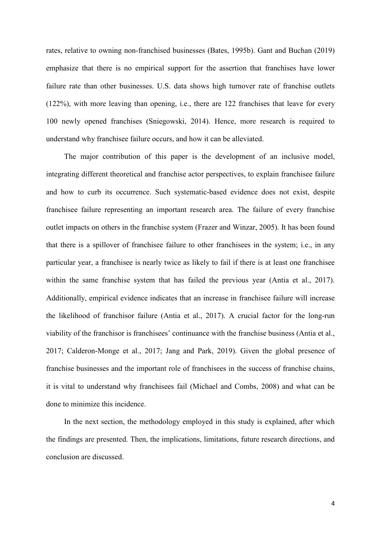rates, relative to owning non-franchised businesses (Bates, 1995b). Gant and Buchan (2019) emphasize that there is no empirical support for the assertion that franchises have lower failure rate than other businesses. U.S. data shows high turnover rate of franchise outlets (122%), with more leaving than opening, i.e., there are 122 franchises that leave for every 100 newly opened franchises (Sniegowski, 2014). Hence, more research is required to understand why franchisee failure occurs, and how it can be alleviated.

The major contribution of this paper is the development of an inclusive model, integrating different theoretical and franchise actor perspectives, to explain franchisee failure and how to curb its occurrence. Such systematic-based evidence does not exist, despite franchisee failure representing an important research area. The failure of every franchise outlet impacts on others in the franchise system (Frazer and Winzar, 2005). It has been found that there is a spillover of franchisee failure to other franchisees in the system; i.e., in any particular year, a franchisee is nearly twice as likely to fail if there is at least one franchisee within the same franchise system that has failed the previous year (Antia et al., 2017). Additionally, empirical evidence indicates that an increase in franchisee failure will increase the likelihood of franchisor failure (Antia et al., 2017). A crucial factor for the long-run viability of the franchisor is franchisees' continuance with the franchise business (Antia et al., 2017; Calderon-Monge et al., 2017; Jang and Park, 2019). Given the global presence of franchise businesses and the important role of franchisees in the success of franchise chains, it is vital to understand why franchisees fail (Michael and Combs, 2008) and what can be done to minimize this incidence.

In the next section, the methodology employed in this study is explained, after which the findings are presented. Then, the implications, limitations, future research directions, and conclusion are discussed.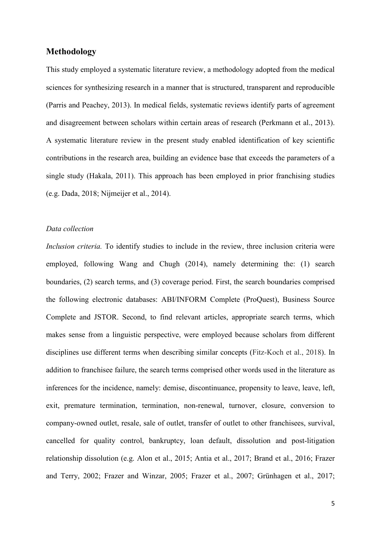## **Methodology**

This study employed a systematic literature review, a methodology adopted from the medical sciences for synthesizing research in a manner that is structured, transparent and reproducible (Parris and Peachey, 2013). In medical fields, systematic reviews identify parts of agreement and disagreement between scholars within certain areas of research (Perkmann et al., 2013). A systematic literature review in the present study enabled identification of key scientific contributions in the research area, building an evidence base that exceeds the parameters of a single study (Hakala, 2011). This approach has been employed in prior franchising studies (e.g. Dada, 2018; Nijmeijer et al., 2014).

## *Data collection*

*Inclusion criteria.* To identify studies to include in the review, three inclusion criteria were employed, following Wang and Chugh (2014), namely determining the: (1) search boundaries, (2) search terms, and (3) coverage period. First, the search boundaries comprised the following electronic databases: ABI/INFORM Complete (ProQuest), Business Source Complete and JSTOR. Second, to find relevant articles, appropriate search terms, which makes sense from a linguistic perspective, were employed because scholars from different disciplines use different terms when describing similar concepts (Fitz-Koch et al., 2018). In addition to franchisee failure, the search terms comprised other words used in the literature as inferences for the incidence, namely: demise, discontinuance, propensity to leave, leave, left, exit, premature termination, termination, non-renewal, turnover, closure, conversion to company-owned outlet, resale, sale of outlet, transfer of outlet to other franchisees, survival, cancelled for quality control, bankruptcy, loan default, dissolution and post-litigation relationship dissolution (e.g. Alon et al., 2015; Antia et al., 2017; Brand et al., 2016; Frazer and Terry, 2002; Frazer and Winzar, 2005; Frazer et al., 2007; Grünhagen et al., 2017;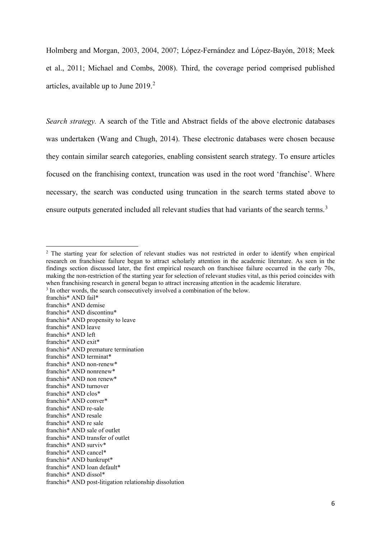Holmberg and Morgan, 2003, 2004, 2007; López-Fernández and López-Bayón, 2018; Meek et al., 2011; Michael and Combs, 2008). Third, the coverage period comprised published articles, available up to June 2019. [2](#page-5-0)

*Search strategy.* A search of the Title and Abstract fields of the above electronic databases was undertaken (Wang and Chugh, 2014). These electronic databases were chosen because they contain similar search categories, enabling consistent search strategy. To ensure articles focused on the franchising context, truncation was used in the root word 'franchise'. Where necessary, the search was conducted using truncation in the search terms stated above to ensure outputs generated included all relevant studies that had variants of the search terms.<sup>[3](#page-5-1)</sup>

<span id="page-5-0"></span><sup>&</sup>lt;sup>2</sup> The starting year for selection of relevant studies was not restricted in order to identify when empirical research on franchisee failure began to attract scholarly attention in the academic literature. As seen in the findings section discussed later, the first empirical research on franchisee failure occurred in the early 70s, making the non-restriction of the starting year for selection of relevant studies vital, as this period coincides with when franchising research in general began to attract increasing attention in the academic literature.

<span id="page-5-1"></span><sup>&</sup>lt;sup>3</sup> In other words, the search consecutively involved a combination of the below.

franchis\* AND fail\*

franchis\* AND demise

franchis\* AND discontinu\*

franchis\* AND propensity to leave

franchis\* AND leave

franchis\* AND left

franchis\* AND exit\*

franchis\* AND premature termination

franchis\* AND terminat\*

franchis\* AND non-renew\*

franchis\* AND nonrenew\*

franchis\* AND non renew\*

franchis\* AND turnover

franchis\* AND clos\*

franchis\* AND conver\*

franchis\* AND re-sale

franchis\* AND resale

franchis\* AND re sale

franchis\* AND sale of outlet

franchis\* AND transfer of outlet

franchis\* AND surviv\*

franchis\* AND cancel\*

franchis\* AND bankrupt\*

franchis\* AND loan default\*

franchis\* AND dissol\*

franchis\* AND post-litigation relationship dissolution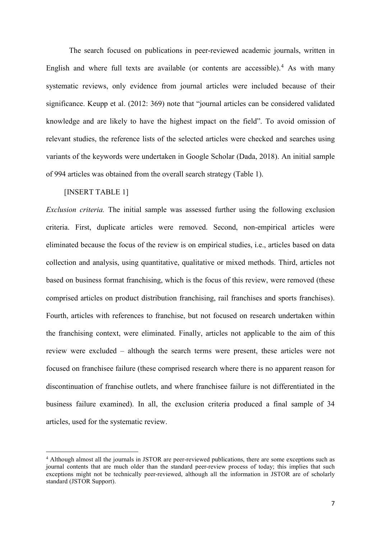The search focused on publications in peer-reviewed academic journals, written in English and where full texts are available (or contents are accessible).<sup>[4](#page-6-0)</sup> As with many systematic reviews, only evidence from journal articles were included because of their significance. Keupp et al. (2012: 369) note that "journal articles can be considered validated knowledge and are likely to have the highest impact on the field". To avoid omission of relevant studies, the reference lists of the selected articles were checked and searches using variants of the keywords were undertaken in Google Scholar (Dada, 2018). An initial sample of 994 articles was obtained from the overall search strategy (Table 1).

#### [INSERT TABLE 1]

*Exclusion criteria.* The initial sample was assessed further using the following exclusion criteria. First, duplicate articles were removed. Second, non-empirical articles were eliminated because the focus of the review is on empirical studies, i.e., articles based on data collection and analysis, using quantitative, qualitative or mixed methods. Third, articles not based on business format franchising, which is the focus of this review, were removed (these comprised articles on product distribution franchising, rail franchises and sports franchises). Fourth, articles with references to franchise, but not focused on research undertaken within the franchising context, were eliminated. Finally, articles not applicable to the aim of this review were excluded – although the search terms were present, these articles were not focused on franchisee failure (these comprised research where there is no apparent reason for discontinuation of franchise outlets, and where franchisee failure is not differentiated in the business failure examined). In all, the exclusion criteria produced a final sample of 34 articles, used for the systematic review.

<span id="page-6-0"></span> <sup>4</sup> Although almost all the journals in JSTOR are peer-reviewed publications, there are some exceptions such as journal contents that are much older than the standard peer-review process of today; this implies that such exceptions might not be technically peer-reviewed, although all the information in JSTOR are of scholarly standard (JSTOR Support).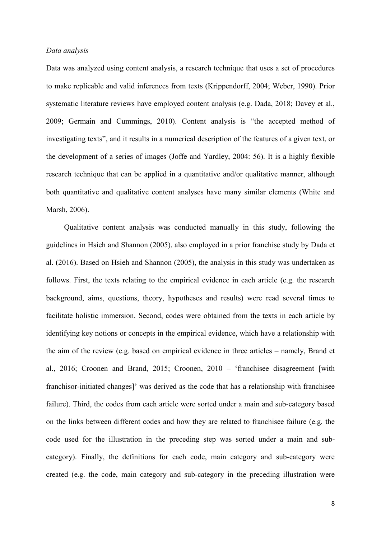#### *Data analysis*

Data was analyzed using content analysis, a research technique that uses a set of procedures to make replicable and valid inferences from texts (Krippendorff, 2004; Weber, 1990). Prior systematic literature reviews have employed content analysis (e.g. Dada, 2018; Davey et al., 2009; Germain and Cummings, 2010). Content analysis is "the accepted method of investigating texts", and it results in a numerical description of the features of a given text, or the development of a series of images (Joffe and Yardley, 2004: 56). It is a highly flexible research technique that can be applied in a quantitative and/or qualitative manner, although both quantitative and qualitative content analyses have many similar elements (White and Marsh, 2006).

Qualitative content analysis was conducted manually in this study, following the guidelines in Hsieh and Shannon (2005), also employed in a prior franchise study by Dada et al. (2016). Based on Hsieh and Shannon (2005), the analysis in this study was undertaken as follows. First, the texts relating to the empirical evidence in each article (e.g. the research background, aims, questions, theory, hypotheses and results) were read several times to facilitate holistic immersion. Second, codes were obtained from the texts in each article by identifying key notions or concepts in the empirical evidence, which have a relationship with the aim of the review (e.g. based on empirical evidence in three articles – namely, Brand et al., 2016; Croonen and Brand, 2015; Croonen, 2010 – 'franchisee disagreement [with franchisor-initiated changes]' was derived as the code that has a relationship with franchisee failure). Third, the codes from each article were sorted under a main and sub-category based on the links between different codes and how they are related to franchisee failure (e.g. the code used for the illustration in the preceding step was sorted under a main and subcategory). Finally, the definitions for each code, main category and sub-category were created (e.g. the code, main category and sub-category in the preceding illustration were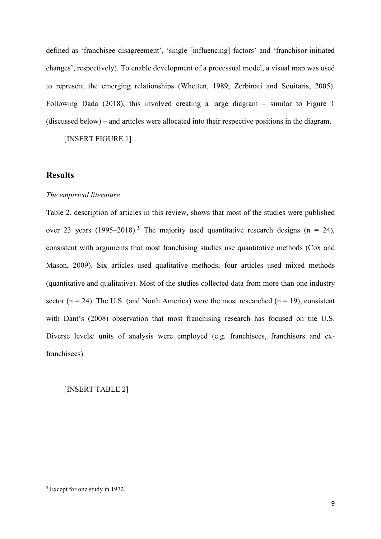defined as 'franchisee disagreement', 'single [influencing] factors' and 'franchisor-initiated changes', respectively). To enable development of a processual model, a visual map was used to represent the emerging relationships (Whetten, 1989; Zerbinati and Souitaris, 2005). Following Dada (2018), this involved creating a large diagram – similar to Figure 1 (discussed below) – and articles were allocated into their respective positions in the diagram.

[INSERT FIGURE 1]

## **Results**

#### *The empirical literature*

Table 2, description of articles in this review, shows that most of the studies were published over 23 years (199[5](#page-8-0)–2018).<sup>5</sup> The majority used quantitative research designs ( $n = 24$ ), consistent with arguments that most franchising studies use quantitative methods (Cox and Mason, 2009). Six articles used qualitative methods; four articles used mixed methods (quantitative and qualitative). Most of the studies collected data from more than one industry sector ( $n = 24$ ). The U.S. (and North America) were the most researched ( $n = 19$ ), consistent with Dant's (2008) observation that most franchising research has focused on the U.S. Diverse levels/ units of analysis were employed (e.g. franchisees, franchisors and exfranchisees).

[INSERT TABLE 2]

<span id="page-8-0"></span><sup>&</sup>lt;sup>5</sup> Except for one study in 1972.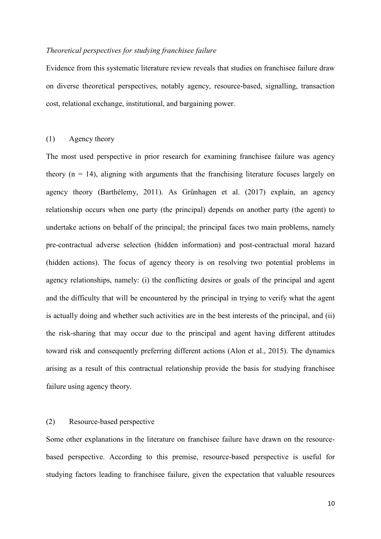#### *Theoretical perspectives for studying franchisee failure*

Evidence from this systematic literature review reveals that studies on franchisee failure draw on diverse theoretical perspectives, notably agency, resource-based, signalling, transaction cost, relational exchange, institutional, and bargaining power.

## (1) Agency theory

The most used perspective in prior research for examining franchisee failure was agency theory  $(n = 14)$ , aligning with arguments that the franchising literature focuses largely on agency theory (Barthélemy, 2011). As Grünhagen et al. (2017) explain, an agency relationship occurs when one party (the principal) depends on another party (the agent) to undertake actions on behalf of the principal; the principal faces two main problems, namely pre-contractual adverse selection (hidden information) and post-contractual moral hazard (hidden actions). The focus of agency theory is on resolving two potential problems in agency relationships, namely: (i) the conflicting desires or goals of the principal and agent and the difficulty that will be encountered by the principal in trying to verify what the agent is actually doing and whether such activities are in the best interests of the principal, and (ii) the risk-sharing that may occur due to the principal and agent having different attitudes toward risk and consequently preferring different actions (Alon et al., 2015). The dynamics arising as a result of this contractual relationship provide the basis for studying franchisee failure using agency theory.

## (2) Resource-based perspective

Some other explanations in the literature on franchisee failure have drawn on the resourcebased perspective. According to this premise, resource-based perspective is useful for studying factors leading to franchisee failure, given the expectation that valuable resources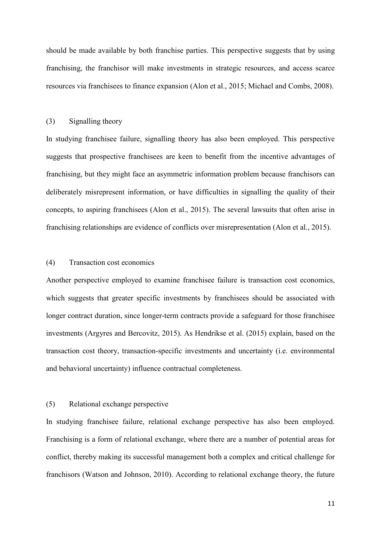should be made available by both franchise parties. This perspective suggests that by using franchising, the franchisor will make investments in strategic resources, and access scarce resources via franchisees to finance expansion (Alon et al., 2015; Michael and Combs, 2008).

#### (3) Signalling theory

In studying franchisee failure, signalling theory has also been employed. This perspective suggests that prospective franchisees are keen to benefit from the incentive advantages of franchising, but they might face an asymmetric information problem because franchisors can deliberately misrepresent information, or have difficulties in signalling the quality of their concepts, to aspiring franchisees (Alon et al., 2015). The several lawsuits that often arise in franchising relationships are evidence of conflicts over misrepresentation (Alon et al., 2015).

## (4) Transaction cost economics

Another perspective employed to examine franchisee failure is transaction cost economics, which suggests that greater specific investments by franchisees should be associated with longer contract duration, since longer-term contracts provide a safeguard for those franchisee investments (Argyres and Bercovitz, 2015). As Hendrikse et al. (2015) explain, based on the transaction cost theory, transaction-specific investments and uncertainty (i.e. environmental and behavioral uncertainty) influence contractual completeness.

## (5) Relational exchange perspective

In studying franchisee failure, relational exchange perspective has also been employed. Franchising is a form of relational exchange, where there are a number of potential areas for conflict, thereby making its successful management both a complex and critical challenge for franchisors (Watson and Johnson, 2010). According to relational exchange theory, the future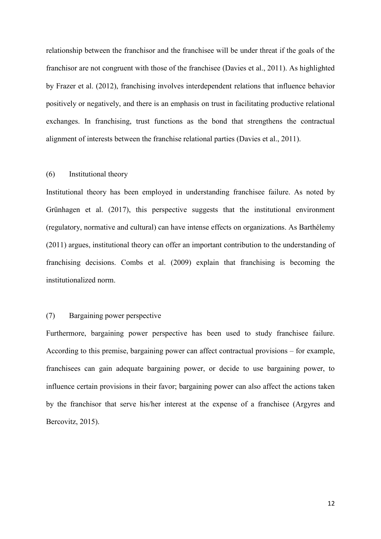relationship between the franchisor and the franchisee will be under threat if the goals of the franchisor are not congruent with those of the franchisee (Davies et al., 2011). As highlighted by Frazer et al. (2012), franchising involves interdependent relations that influence behavior positively or negatively, and there is an emphasis on trust in facilitating productive relational exchanges. In franchising, trust functions as the bond that strengthens the contractual alignment of interests between the franchise relational parties (Davies et al., 2011).

#### (6) Institutional theory

Institutional theory has been employed in understanding franchisee failure. As noted by Grünhagen et al. (2017), this perspective suggests that the institutional environment (regulatory, normative and cultural) can have intense effects on organizations. As Barthélemy (2011) argues, institutional theory can offer an important contribution to the understanding of franchising decisions. Combs et al. (2009) explain that franchising is becoming the institutionalized norm.

#### (7) Bargaining power perspective

Furthermore, bargaining power perspective has been used to study franchisee failure. According to this premise, bargaining power can affect contractual provisions – for example, franchisees can gain adequate bargaining power, or decide to use bargaining power, to influence certain provisions in their favor; bargaining power can also affect the actions taken by the franchisor that serve his/her interest at the expense of a franchisee (Argyres and Bercovitz, 2015).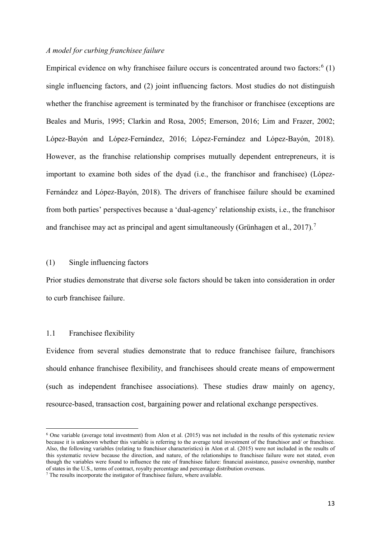## *A model for curbing franchisee failure*

Empirical evidence on why franchisee failure occurs is concentrated around two factors:  $6(1)$  $6(1)$ single influencing factors, and (2) joint influencing factors. Most studies do not distinguish whether the franchise agreement is terminated by the franchisor or franchisee (exceptions are Beales and Muris, 1995; Clarkin and Rosa, 2005; Emerson, 2016; Lim and Frazer, 2002; López-Bayón and López-Fernández, 2016; López-Fernández and López-Bayón, 2018). However, as the franchise relationship comprises mutually dependent entrepreneurs, it is important to examine both sides of the dyad (i.e., the franchisor and franchisee) (López-Fernández and López-Bayón, 2018). The drivers of franchisee failure should be examined from both parties' perspectives because a 'dual-agency' relationship exists, i.e., the franchisor and franchisee may act as principal and agent simultaneously (Grünhagen et al.,  $2017$  $2017$ ).<sup>7</sup>

#### (1) Single influencing factors

Prior studies demonstrate that diverse sole factors should be taken into consideration in order to curb franchisee failure.

#### 1.1 Franchisee flexibility

Evidence from several studies demonstrate that to reduce franchisee failure, franchisors should enhance franchisee flexibility, and franchisees should create means of empowerment (such as independent franchisee associations). These studies draw mainly on agency, resource-based, transaction cost, bargaining power and relational exchange perspectives.

<span id="page-12-0"></span> $6$  One variable (average total investment) from Alon et al. (2015) was not included in the results of this systematic review because it is unknown whether this variable is referring to the average total investment of the franchisor and/ or franchisee. Also, the following variables (relating to franchisor characteristics) in Alon et al. (2015) were not included in the results of this systematic review because the direction, and nature, of the relationships to franchisee failure were not stated, even though the variables were found to influence the rate of franchisee failure: financial assistance, passive ownership, number of states in the U.S., terms of contract, royalty percentage and percentage distribution overseas.

<span id="page-12-1"></span><sup>7</sup> The results incorporate the instigator of franchisee failure, where available.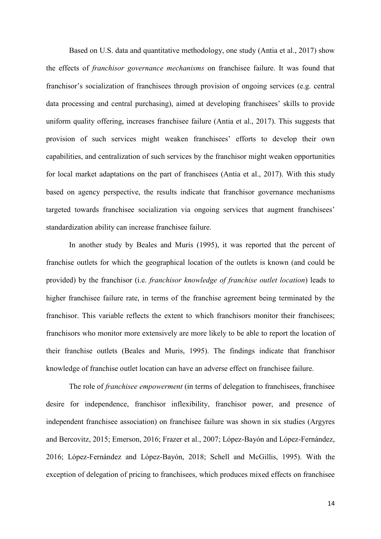Based on U.S. data and quantitative methodology, one study (Antia et al., 2017) show the effects of *franchisor governance mechanisms* on franchisee failure. It was found that franchisor's socialization of franchisees through provision of ongoing services (e.g. central data processing and central purchasing), aimed at developing franchisees' skills to provide uniform quality offering, increases franchisee failure (Antia et al., 2017). This suggests that provision of such services might weaken franchisees' efforts to develop their own capabilities, and centralization of such services by the franchisor might weaken opportunities for local market adaptations on the part of franchisees (Antia et al., 2017). With this study based on agency perspective, the results indicate that franchisor governance mechanisms targeted towards franchisee socialization via ongoing services that augment franchisees' standardization ability can increase franchisee failure.

In another study by Beales and Muris (1995), it was reported that the percent of franchise outlets for which the geographical location of the outlets is known (and could be provided) by the franchisor (i.e. *franchisor knowledge of franchise outlet location*) leads to higher franchisee failure rate, in terms of the franchise agreement being terminated by the franchisor. This variable reflects the extent to which franchisors monitor their franchisees; franchisors who monitor more extensively are more likely to be able to report the location of their franchise outlets (Beales and Muris, 1995). The findings indicate that franchisor knowledge of franchise outlet location can have an adverse effect on franchisee failure.

The role of *franchisee empowerment* (in terms of delegation to franchisees, franchisee desire for independence, franchisor inflexibility, franchisor power, and presence of independent franchisee association) on franchisee failure was shown in six studies (Argyres and Bercovitz, 2015; Emerson, 2016; Frazer et al., 2007; López-Bayón and López-Fernández, 2016; López-Fernández and López-Bayón, 2018; Schell and McGillis, 1995). With the exception of delegation of pricing to franchisees, which produces mixed effects on franchisee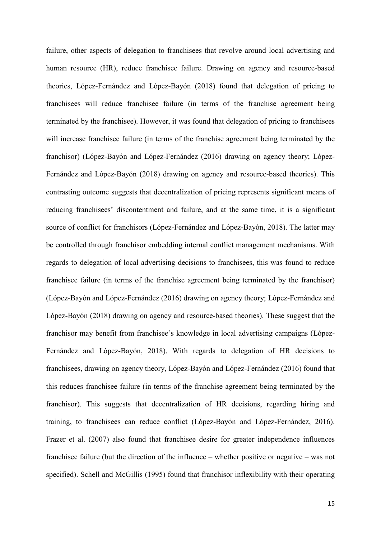failure, other aspects of delegation to franchisees that revolve around local advertising and human resource (HR), reduce franchisee failure. Drawing on agency and resource-based theories, López-Fernández and López-Bayón (2018) found that delegation of pricing to franchisees will reduce franchisee failure (in terms of the franchise agreement being terminated by the franchisee). However, it was found that delegation of pricing to franchisees will increase franchisee failure (in terms of the franchise agreement being terminated by the franchisor) (López-Bayón and López-Fernández (2016) drawing on agency theory; López-Fernández and López-Bayón (2018) drawing on agency and resource-based theories). This contrasting outcome suggests that decentralization of pricing represents significant means of reducing franchisees' discontentment and failure, and at the same time, it is a significant source of conflict for franchisors (López-Fernández and López-Bayón, 2018). The latter may be controlled through franchisor embedding internal conflict management mechanisms. With regards to delegation of local advertising decisions to franchisees, this was found to reduce franchisee failure (in terms of the franchise agreement being terminated by the franchisor) (López-Bayón and López-Fernández (2016) drawing on agency theory; López-Fernández and López-Bayón (2018) drawing on agency and resource-based theories). These suggest that the franchisor may benefit from franchisee's knowledge in local advertising campaigns (López-Fernández and López-Bayón, 2018). With regards to delegation of HR decisions to franchisees, drawing on agency theory, López-Bayón and López-Fernández (2016) found that this reduces franchisee failure (in terms of the franchise agreement being terminated by the franchisor). This suggests that decentralization of HR decisions, regarding hiring and training, to franchisees can reduce conflict (López-Bayón and López-Fernández, 2016). Frazer et al. (2007) also found that franchisee desire for greater independence influences franchisee failure (but the direction of the influence – whether positive or negative – was not specified). Schell and McGillis (1995) found that franchisor inflexibility with their operating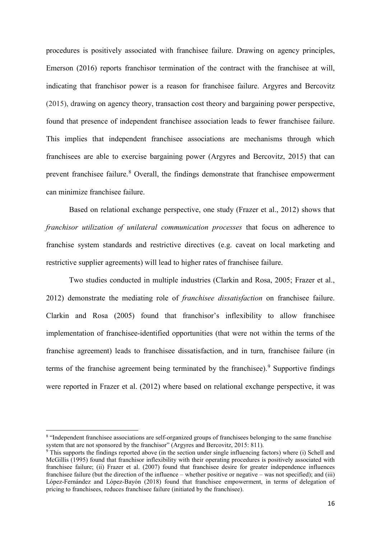procedures is positively associated with franchisee failure. Drawing on agency principles, Emerson (2016) reports franchisor termination of the contract with the franchisee at will, indicating that franchisor power is a reason for franchisee failure. Argyres and Bercovitz (2015), drawing on agency theory, transaction cost theory and bargaining power perspective, found that presence of independent franchisee association leads to fewer franchisee failure. This implies that independent franchisee associations are mechanisms through which franchisees are able to exercise bargaining power (Argyres and Bercovitz, 2015) that can prevent franchisee failure.<sup>[8](#page-15-0)</sup> Overall, the findings demonstrate that franchisee empowerment can minimize franchisee failure.

Based on relational exchange perspective, one study (Frazer et al., 2012) shows that *franchisor utilization of unilateral communication processes* that focus on adherence to franchise system standards and restrictive directives (e.g. caveat on local marketing and restrictive supplier agreements) will lead to higher rates of franchisee failure.

Two studies conducted in multiple industries (Clarkin and Rosa, 2005; Frazer et al., 2012) demonstrate the mediating role of *franchisee dissatisfaction* on franchisee failure. Clarkin and Rosa (2005) found that franchisor's inflexibility to allow franchisee implementation of franchisee-identified opportunities (that were not within the terms of the franchise agreement) leads to franchisee dissatisfaction, and in turn, franchisee failure (in terms of the franchise agreement being terminated by the franchisee). <sup>[9](#page-15-1)</sup> Supportive findings were reported in Frazer et al. (2012) where based on relational exchange perspective, it was

<span id="page-15-0"></span><sup>&</sup>lt;sup>8</sup> "Independent franchisee associations are self-organized groups of franchisees belonging to the same franchise system that are not sponsored by the franchisor" (Argyres and Bercovitz, 2015: 811).

<span id="page-15-1"></span> $\overline{S}$  This supports the findings reported above (in the section under single influencing factors) where (i) Schell and McGillis (1995) found that franchisor inflexibility with their operating procedures is positively associated with franchisee failure; (ii) Frazer et al. (2007) found that franchisee desire for greater independence influences franchisee failure (but the direction of the influence – whether positive or negative – was not specified); and (iii) López-Fernández and López-Bayón (2018) found that franchisee empowerment, in terms of delegation of pricing to franchisees, reduces franchisee failure (initiated by the franchisee).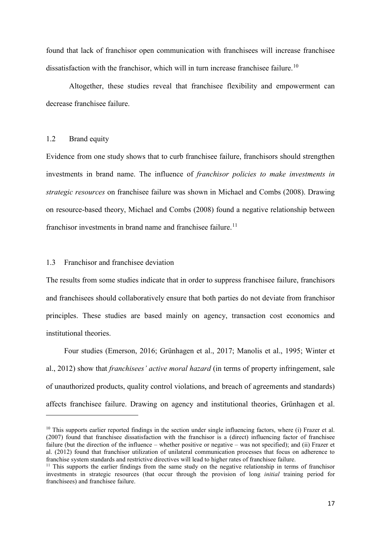found that lack of franchisor open communication with franchisees will increase franchisee dissatisfaction with the franchisor, which will in turn increase franchisee failure.<sup>[10](#page-16-0)</sup>

Altogether, these studies reveal that franchisee flexibility and empowerment can decrease franchisee failure.

#### 1.2 Brand equity

<u>.</u>

Evidence from one study shows that to curb franchisee failure, franchisors should strengthen investments in brand name. The influence of *franchisor policies to make investments in strategic resources* on franchisee failure was shown in Michael and Combs (2008). Drawing on resource-based theory, Michael and Combs (2008) found a negative relationship between franchisor investments in brand name and franchisee failure.<sup>[11](#page-16-1)</sup>

## 1.3 Franchisor and franchisee deviation

The results from some studies indicate that in order to suppress franchisee failure, franchisors and franchisees should collaboratively ensure that both parties do not deviate from franchisor principles. These studies are based mainly on agency, transaction cost economics and institutional theories.

Four studies (Emerson, 2016; Grünhagen et al., 2017; Manolis et al., 1995; Winter et al., 2012) show that *franchisees' active moral hazard* (in terms of property infringement, sale of unauthorized products, quality control violations, and breach of agreements and standards) affects franchisee failure. Drawing on agency and institutional theories, Grünhagen et al.

<span id="page-16-0"></span><sup>&</sup>lt;sup>10</sup> This supports earlier reported findings in the section under single influencing factors, where (i) Frazer et al. (2007) found that franchisee dissatisfaction with the franchisor is a (direct) influencing factor of franchisee failure (but the direction of the influence – whether positive or negative – was not specified); and (ii) Frazer et al. (2012) found that franchisor utilization of unilateral communication processes that focus on adherence to franchise system standards and restrictive directives will lead to higher rates of franchisee failure.

<span id="page-16-1"></span><sup>&</sup>lt;sup>11</sup> This supports the earlier findings from the same study on the negative relationship in terms of franchisor investments in strategic resources (that occur through the provision of long *initial* training period for franchisees) and franchisee failure.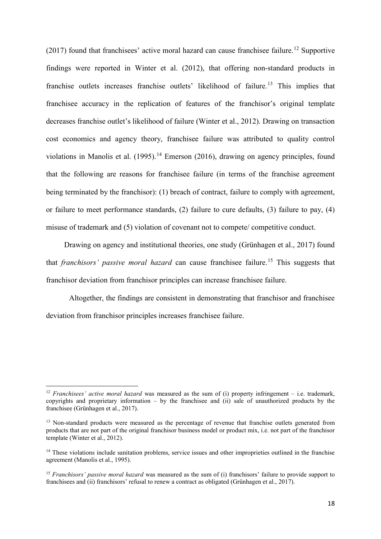(2017) found that franchisees' active moral hazard can cause franchisee failure.<sup>[12](#page-17-0)</sup> Supportive findings were reported in Winter et al. (2012), that offering non-standard products in franchise outlets increases franchise outlets' likelihood of failure.<sup>[13](#page-17-1)</sup> This implies that franchisee accuracy in the replication of features of the franchisor's original template decreases franchise outlet's likelihood of failure (Winter et al., 2012). Drawing on transaction cost economics and agency theory, franchisee failure was attributed to quality control violations in Manolis et al.  $(1995)$ .<sup>[14](#page-17-2)</sup> Emerson (2016), drawing on agency principles, found that the following are reasons for franchisee failure (in terms of the franchise agreement being terminated by the franchisor): (1) breach of contract, failure to comply with agreement, or failure to meet performance standards, (2) failure to cure defaults, (3) failure to pay, (4) misuse of trademark and (5) violation of covenant not to compete/ competitive conduct.

Drawing on agency and institutional theories, one study (Grünhagen et al., 2017) found that *franchisors' passive moral hazard* can cause franchisee failure.<sup>[15](#page-17-3)</sup> This suggests that franchisor deviation from franchisor principles can increase franchisee failure.

Altogether, the findings are consistent in demonstrating that franchisor and franchisee deviation from franchisor principles increases franchisee failure.

<span id="page-17-0"></span><sup>&</sup>lt;sup>12</sup> *Franchisees' active moral hazard* was measured as the sum of (i) property infringement – i.e. trademark, copyrights and proprietary information – by the franchisee and (ii) sale of unauthorized products by the franchisee (Grünhagen et al., 2017).

<span id="page-17-1"></span><sup>&</sup>lt;sup>13</sup> Non-standard products were measured as the percentage of revenue that franchise outlets generated from products that are not part of the original franchisor business model or product mix, i.e. not part of the franchisor template (Winter et al., 2012).

<span id="page-17-2"></span><sup>&</sup>lt;sup>14</sup> These violations include sanitation problems, service issues and other improprieties outlined in the franchise agreement (Manolis et al., 1995).

<span id="page-17-3"></span><sup>&</sup>lt;sup>15</sup> *Franchisors' passive moral hazard* was measured as the sum of (i) franchisors' failure to provide support to franchisees and (ii) franchisors' refusal to renew a contract as obligated (Grünhagen et al., 2017).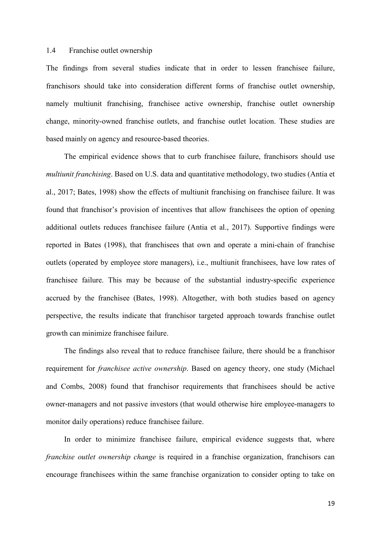#### 1.4 Franchise outlet ownership

The findings from several studies indicate that in order to lessen franchisee failure, franchisors should take into consideration different forms of franchise outlet ownership, namely multiunit franchising, franchisee active ownership, franchise outlet ownership change, minority-owned franchise outlets, and franchise outlet location. These studies are based mainly on agency and resource-based theories.

The empirical evidence shows that to curb franchisee failure, franchisors should use *multiunit franchising*. Based on U.S. data and quantitative methodology, two studies (Antia et al., 2017; Bates, 1998) show the effects of multiunit franchising on franchisee failure. It was found that franchisor's provision of incentives that allow franchisees the option of opening additional outlets reduces franchisee failure (Antia et al., 2017). Supportive findings were reported in Bates (1998), that franchisees that own and operate a mini-chain of franchise outlets (operated by employee store managers), i.e., multiunit franchisees, have low rates of franchisee failure. This may be because of the substantial industry-specific experience accrued by the franchisee (Bates, 1998). Altogether, with both studies based on agency perspective, the results indicate that franchisor targeted approach towards franchise outlet growth can minimize franchisee failure.

The findings also reveal that to reduce franchisee failure, there should be a franchisor requirement for *franchisee active ownership*. Based on agency theory, one study (Michael and Combs, 2008) found that franchisor requirements that franchisees should be active owner-managers and not passive investors (that would otherwise hire employee-managers to monitor daily operations) reduce franchisee failure.

In order to minimize franchisee failure, empirical evidence suggests that, where *franchise outlet ownership change* is required in a franchise organization, franchisors can encourage franchisees within the same franchise organization to consider opting to take on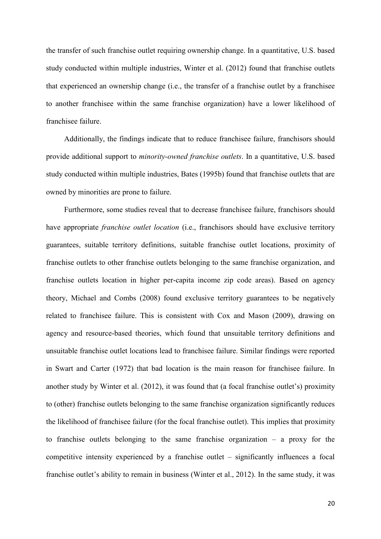the transfer of such franchise outlet requiring ownership change. In a quantitative, U.S. based study conducted within multiple industries, Winter et al. (2012) found that franchise outlets that experienced an ownership change (i.e., the transfer of a franchise outlet by a franchisee to another franchisee within the same franchise organization) have a lower likelihood of franchisee failure.

Additionally, the findings indicate that to reduce franchisee failure, franchisors should provide additional support to *minority-owned franchise outlets*. In a quantitative, U.S. based study conducted within multiple industries, Bates (1995b) found that franchise outlets that are owned by minorities are prone to failure.

Furthermore, some studies reveal that to decrease franchisee failure, franchisors should have appropriate *franchise outlet location* (i.e., franchisors should have exclusive territory guarantees, suitable territory definitions, suitable franchise outlet locations, proximity of franchise outlets to other franchise outlets belonging to the same franchise organization, and franchise outlets location in higher per-capita income zip code areas). Based on agency theory, Michael and Combs (2008) found exclusive territory guarantees to be negatively related to franchisee failure. This is consistent with Cox and Mason (2009), drawing on agency and resource-based theories, which found that unsuitable territory definitions and unsuitable franchise outlet locations lead to franchisee failure. Similar findings were reported in Swart and Carter (1972) that bad location is the main reason for franchisee failure. In another study by Winter et al. (2012), it was found that (a focal franchise outlet's) proximity to (other) franchise outlets belonging to the same franchise organization significantly reduces the likelihood of franchisee failure (for the focal franchise outlet). This implies that proximity to franchise outlets belonging to the same franchise organization – a proxy for the competitive intensity experienced by a franchise outlet – significantly influences a focal franchise outlet's ability to remain in business (Winter et al., 2012). In the same study, it was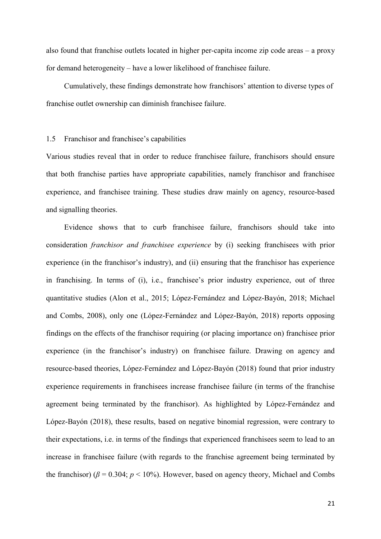also found that franchise outlets located in higher per-capita income zip code areas – a proxy for demand heterogeneity – have a lower likelihood of franchisee failure.

Cumulatively, these findings demonstrate how franchisors' attention to diverse types of franchise outlet ownership can diminish franchisee failure.

#### 1.5 Franchisor and franchisee's capabilities

Various studies reveal that in order to reduce franchisee failure, franchisors should ensure that both franchise parties have appropriate capabilities, namely franchisor and franchisee experience, and franchisee training. These studies draw mainly on agency, resource-based and signalling theories.

Evidence shows that to curb franchisee failure, franchisors should take into consideration *franchisor and franchisee experience* by (i) seeking franchisees with prior experience (in the franchisor's industry), and (ii) ensuring that the franchisor has experience in franchising. In terms of (i), i.e., franchisee's prior industry experience, out of three quantitative studies (Alon et al., 2015; López-Fernández and López-Bayón, 2018; Michael and Combs, 2008), only one (López-Fernández and López-Bayón, 2018) reports opposing findings on the effects of the franchisor requiring (or placing importance on) franchisee prior experience (in the franchisor's industry) on franchisee failure. Drawing on agency and resource-based theories, López-Fernández and López-Bayón (2018) found that prior industry experience requirements in franchisees increase franchisee failure (in terms of the franchise agreement being terminated by the franchisor). As highlighted by López-Fernández and López-Bayón (2018), these results, based on negative binomial regression, were contrary to their expectations, i.e. in terms of the findings that experienced franchisees seem to lead to an increase in franchisee failure (with regards to the franchise agreement being terminated by the franchisor) ( $\beta$  = 0.304;  $p$  < 10%). However, based on agency theory, Michael and Combs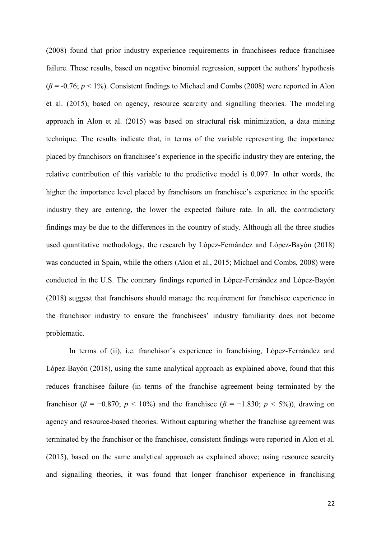(2008) found that prior industry experience requirements in franchisees reduce franchisee failure. These results, based on negative binomial regression, support the authors' hypothesis (*β* = -0.76; *p* < 1%). Consistent findings to Michael and Combs (2008) were reported in Alon et al. (2015), based on agency, resource scarcity and signalling theories. The modeling approach in Alon et al. (2015) was based on structural risk minimization, a data mining technique. The results indicate that, in terms of the variable representing the importance placed by franchisors on franchisee's experience in the specific industry they are entering, the relative contribution of this variable to the predictive model is 0.097. In other words, the higher the importance level placed by franchisors on franchisee's experience in the specific industry they are entering, the lower the expected failure rate. In all, the contradictory findings may be due to the differences in the country of study. Although all the three studies used quantitative methodology, the research by López-Fernández and López-Bayón (2018) was conducted in Spain, while the others (Alon et al., 2015; Michael and Combs, 2008) were conducted in the U.S. The contrary findings reported in López-Fernández and López-Bayón (2018) suggest that franchisors should manage the requirement for franchisee experience in the franchisor industry to ensure the franchisees' industry familiarity does not become problematic.

In terms of (ii), i.e. franchisor's experience in franchising, López-Fernández and López-Bayón (2018), using the same analytical approach as explained above, found that this reduces franchisee failure (in terms of the franchise agreement being terminated by the franchisor ( $\beta$  = −0.870; *p* < 10%) and the franchise ( $\beta$  = −1.830; *p* < 5%)), drawing on agency and resource-based theories. Without capturing whether the franchise agreement was terminated by the franchisor or the franchisee, consistent findings were reported in Alon et al. (2015), based on the same analytical approach as explained above; using resource scarcity and signalling theories, it was found that longer franchisor experience in franchising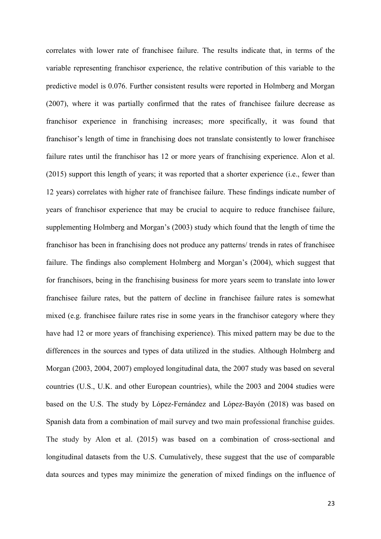correlates with lower rate of franchisee failure. The results indicate that, in terms of the variable representing franchisor experience, the relative contribution of this variable to the predictive model is 0.076. Further consistent results were reported in Holmberg and Morgan (2007), where it was partially confirmed that the rates of franchisee failure decrease as franchisor experience in franchising increases; more specifically, it was found that franchisor's length of time in franchising does not translate consistently to lower franchisee failure rates until the franchisor has 12 or more years of franchising experience. Alon et al. (2015) support this length of years; it was reported that a shorter experience (i.e., fewer than 12 years) correlates with higher rate of franchisee failure. These findings indicate number of years of franchisor experience that may be crucial to acquire to reduce franchisee failure, supplementing Holmberg and Morgan's (2003) study which found that the length of time the franchisor has been in franchising does not produce any patterns/ trends in rates of franchisee failure. The findings also complement Holmberg and Morgan's (2004), which suggest that for franchisors, being in the franchising business for more years seem to translate into lower franchisee failure rates, but the pattern of decline in franchisee failure rates is somewhat mixed (e.g. franchisee failure rates rise in some years in the franchisor category where they have had 12 or more years of franchising experience). This mixed pattern may be due to the differences in the sources and types of data utilized in the studies. Although Holmberg and Morgan (2003, 2004, 2007) employed longitudinal data, the 2007 study was based on several countries (U.S., U.K. and other European countries), while the 2003 and 2004 studies were based on the U.S. The study by López-Fernández and López-Bayón (2018) was based on Spanish data from a combination of mail survey and two main professional franchise guides. The study by Alon et al. (2015) was based on a combination of cross-sectional and longitudinal datasets from the U.S. Cumulatively, these suggest that the use of comparable data sources and types may minimize the generation of mixed findings on the influence of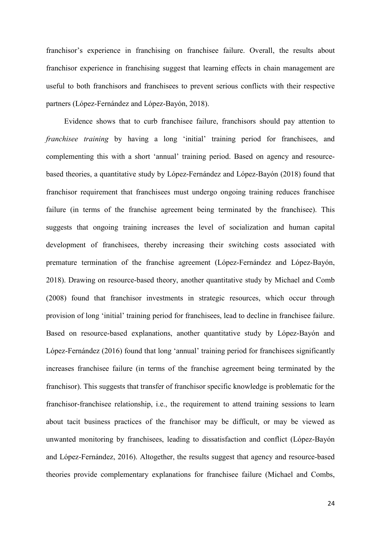franchisor's experience in franchising on franchisee failure. Overall, the results about franchisor experience in franchising suggest that learning effects in chain management are useful to both franchisors and franchisees to prevent serious conflicts with their respective partners (López-Fernández and López-Bayón, 2018).

Evidence shows that to curb franchisee failure, franchisors should pay attention to *franchisee training* by having a long 'initial' training period for franchisees, and complementing this with a short 'annual' training period. Based on agency and resourcebased theories, a quantitative study by López-Fernández and López-Bayón (2018) found that franchisor requirement that franchisees must undergo ongoing training reduces franchisee failure (in terms of the franchise agreement being terminated by the franchisee). This suggests that ongoing training increases the level of socialization and human capital development of franchisees, thereby increasing their switching costs associated with premature termination of the franchise agreement (López-Fernández and López-Bayón, 2018). Drawing on resource-based theory, another quantitative study by Michael and Comb (2008) found that franchisor investments in strategic resources, which occur through provision of long 'initial' training period for franchisees, lead to decline in franchisee failure. Based on resource-based explanations, another quantitative study by López-Bayón and López-Fernández (2016) found that long 'annual' training period for franchisees significantly increases franchisee failure (in terms of the franchise agreement being terminated by the franchisor). This suggests that transfer of franchisor specific knowledge is problematic for the franchisor-franchisee relationship, i.e., the requirement to attend training sessions to learn about tacit business practices of the franchisor may be difficult, or may be viewed as unwanted monitoring by franchisees, leading to dissatisfaction and conflict (López-Bayón and López-Fernández, 2016). Altogether, the results suggest that agency and resource-based theories provide complementary explanations for franchisee failure (Michael and Combs,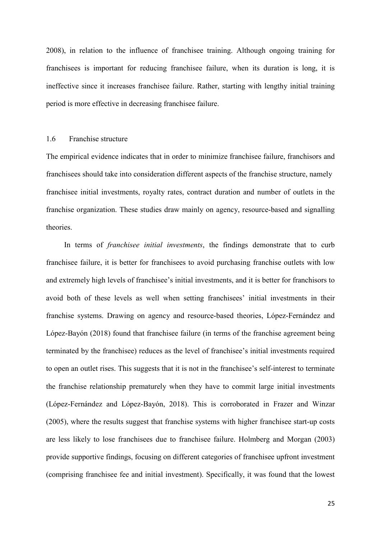2008), in relation to the influence of franchisee training. Although ongoing training for franchisees is important for reducing franchisee failure, when its duration is long, it is ineffective since it increases franchisee failure. Rather, starting with lengthy initial training period is more effective in decreasing franchisee failure.

## 1.6 Franchise structure

The empirical evidence indicates that in order to minimize franchisee failure, franchisors and franchisees should take into consideration different aspects of the franchise structure, namely franchisee initial investments, royalty rates, contract duration and number of outlets in the franchise organization. These studies draw mainly on agency, resource-based and signalling theories.

In terms of *franchisee initial investments*, the findings demonstrate that to curb franchisee failure, it is better for franchisees to avoid purchasing franchise outlets with low and extremely high levels of franchisee's initial investments, and it is better for franchisors to avoid both of these levels as well when setting franchisees' initial investments in their franchise systems. Drawing on agency and resource-based theories, López-Fernández and López-Bayón (2018) found that franchisee failure (in terms of the franchise agreement being terminated by the franchisee) reduces as the level of franchisee's initial investments required to open an outlet rises. This suggests that it is not in the franchisee's self-interest to terminate the franchise relationship prematurely when they have to commit large initial investments (López-Fernández and López-Bayón, 2018). This is corroborated in Frazer and Winzar (2005), where the results suggest that franchise systems with higher franchisee start-up costs are less likely to lose franchisees due to franchisee failure. Holmberg and Morgan (2003) provide supportive findings, focusing on different categories of franchisee upfront investment (comprising franchisee fee and initial investment). Specifically, it was found that the lowest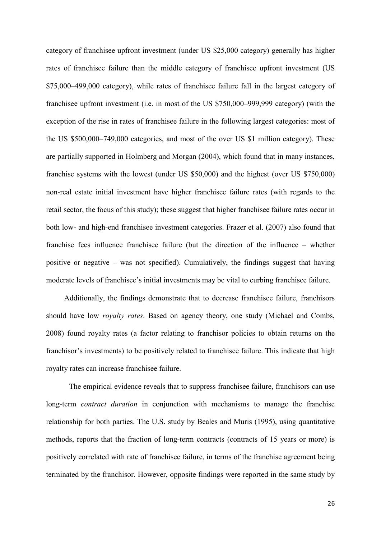category of franchisee upfront investment (under US \$25,000 category) generally has higher rates of franchisee failure than the middle category of franchisee upfront investment (US \$75,000–499,000 category), while rates of franchisee failure fall in the largest category of franchisee upfront investment (i.e. in most of the US \$750,000–999,999 category) (with the exception of the rise in rates of franchisee failure in the following largest categories: most of the US \$500,000–749,000 categories, and most of the over US \$1 million category). These are partially supported in Holmberg and Morgan (2004), which found that in many instances, franchise systems with the lowest (under US \$50,000) and the highest (over US \$750,000) non-real estate initial investment have higher franchisee failure rates (with regards to the retail sector, the focus of this study); these suggest that higher franchisee failure rates occur in both low- and high-end franchisee investment categories. Frazer et al. (2007) also found that franchise fees influence franchisee failure (but the direction of the influence – whether positive or negative – was not specified). Cumulatively, the findings suggest that having moderate levels of franchisee's initial investments may be vital to curbing franchisee failure.

Additionally, the findings demonstrate that to decrease franchisee failure, franchisors should have low *royalty rates*. Based on agency theory, one study (Michael and Combs, 2008) found royalty rates (a factor relating to franchisor policies to obtain returns on the franchisor's investments) to be positively related to franchisee failure. This indicate that high royalty rates can increase franchisee failure.

The empirical evidence reveals that to suppress franchisee failure, franchisors can use long-term *contract duration* in conjunction with mechanisms to manage the franchise relationship for both parties. The U.S. study by Beales and Muris (1995), using quantitative methods, reports that the fraction of long-term contracts (contracts of 15 years or more) is positively correlated with rate of franchisee failure, in terms of the franchise agreement being terminated by the franchisor. However, opposite findings were reported in the same study by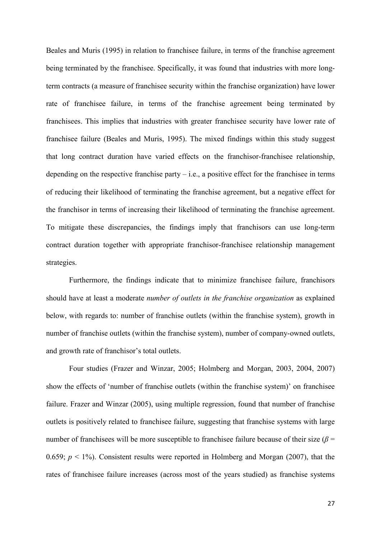Beales and Muris (1995) in relation to franchisee failure, in terms of the franchise agreement being terminated by the franchisee. Specifically, it was found that industries with more longterm contracts (a measure of franchisee security within the franchise organization) have lower rate of franchisee failure, in terms of the franchise agreement being terminated by franchisees. This implies that industries with greater franchisee security have lower rate of franchisee failure (Beales and Muris, 1995). The mixed findings within this study suggest that long contract duration have varied effects on the franchisor-franchisee relationship, depending on the respective franchise party  $-$  i.e., a positive effect for the franchisee in terms of reducing their likelihood of terminating the franchise agreement, but a negative effect for the franchisor in terms of increasing their likelihood of terminating the franchise agreement. To mitigate these discrepancies, the findings imply that franchisors can use long-term contract duration together with appropriate franchisor-franchisee relationship management strategies.

Furthermore, the findings indicate that to minimize franchisee failure, franchisors should have at least a moderate *number of outlets in the franchise organization* as explained below, with regards to: number of franchise outlets (within the franchise system), growth in number of franchise outlets (within the franchise system), number of company-owned outlets, and growth rate of franchisor's total outlets.

Four studies (Frazer and Winzar, 2005; Holmberg and Morgan, 2003, 2004, 2007) show the effects of 'number of franchise outlets (within the franchise system)' on franchisee failure. Frazer and Winzar (2005), using multiple regression, found that number of franchise outlets is positively related to franchisee failure, suggesting that franchise systems with large number of franchisees will be more susceptible to franchisee failure because of their size ( $\beta$  = 0.659;  $p < 1\%$ ). Consistent results were reported in Holmberg and Morgan (2007), that the rates of franchisee failure increases (across most of the years studied) as franchise systems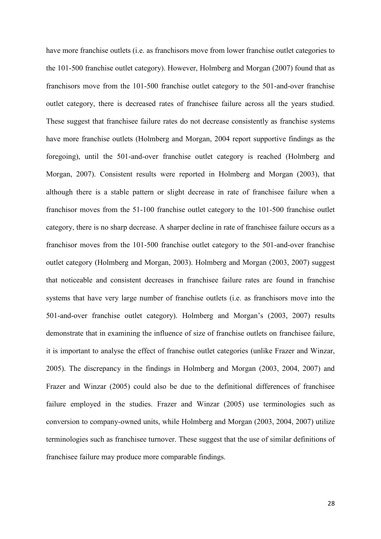have more franchise outlets (i.e. as franchisors move from lower franchise outlet categories to the 101-500 franchise outlet category). However, Holmberg and Morgan (2007) found that as franchisors move from the 101-500 franchise outlet category to the 501-and-over franchise outlet category, there is decreased rates of franchisee failure across all the years studied. These suggest that franchisee failure rates do not decrease consistently as franchise systems have more franchise outlets (Holmberg and Morgan, 2004 report supportive findings as the foregoing), until the 501-and-over franchise outlet category is reached (Holmberg and Morgan, 2007). Consistent results were reported in Holmberg and Morgan (2003), that although there is a stable pattern or slight decrease in rate of franchisee failure when a franchisor moves from the 51-100 franchise outlet category to the 101-500 franchise outlet category, there is no sharp decrease. A sharper decline in rate of franchisee failure occurs as a franchisor moves from the 101-500 franchise outlet category to the 501-and-over franchise outlet category (Holmberg and Morgan, 2003). Holmberg and Morgan (2003, 2007) suggest that noticeable and consistent decreases in franchisee failure rates are found in franchise systems that have very large number of franchise outlets (i.e. as franchisors move into the 501-and-over franchise outlet category). Holmberg and Morgan's (2003, 2007) results demonstrate that in examining the influence of size of franchise outlets on franchisee failure, it is important to analyse the effect of franchise outlet categories (unlike Frazer and Winzar, 2005). The discrepancy in the findings in Holmberg and Morgan (2003, 2004, 2007) and Frazer and Winzar (2005) could also be due to the definitional differences of franchisee failure employed in the studies. Frazer and Winzar (2005) use terminologies such as conversion to company-owned units, while Holmberg and Morgan (2003, 2004, 2007) utilize terminologies such as franchisee turnover. These suggest that the use of similar definitions of franchisee failure may produce more comparable findings.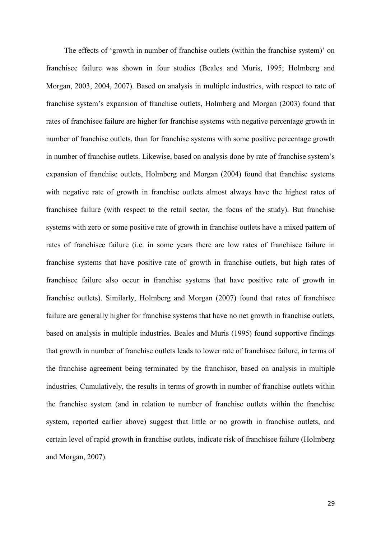The effects of 'growth in number of franchise outlets (within the franchise system)' on franchisee failure was shown in four studies (Beales and Muris, 1995; Holmberg and Morgan, 2003, 2004, 2007). Based on analysis in multiple industries, with respect to rate of franchise system's expansion of franchise outlets, Holmberg and Morgan (2003) found that rates of franchisee failure are higher for franchise systems with negative percentage growth in number of franchise outlets, than for franchise systems with some positive percentage growth in number of franchise outlets. Likewise, based on analysis done by rate of franchise system's expansion of franchise outlets, Holmberg and Morgan (2004) found that franchise systems with negative rate of growth in franchise outlets almost always have the highest rates of franchisee failure (with respect to the retail sector, the focus of the study). But franchise systems with zero or some positive rate of growth in franchise outlets have a mixed pattern of rates of franchisee failure (i.e. in some years there are low rates of franchisee failure in franchise systems that have positive rate of growth in franchise outlets, but high rates of franchisee failure also occur in franchise systems that have positive rate of growth in franchise outlets). Similarly, Holmberg and Morgan (2007) found that rates of franchisee failure are generally higher for franchise systems that have no net growth in franchise outlets, based on analysis in multiple industries. Beales and Muris (1995) found supportive findings that growth in number of franchise outlets leads to lower rate of franchisee failure, in terms of the franchise agreement being terminated by the franchisor, based on analysis in multiple industries. Cumulatively, the results in terms of growth in number of franchise outlets within the franchise system (and in relation to number of franchise outlets within the franchise system, reported earlier above) suggest that little or no growth in franchise outlets, and certain level of rapid growth in franchise outlets, indicate risk of franchisee failure (Holmberg and Morgan, 2007).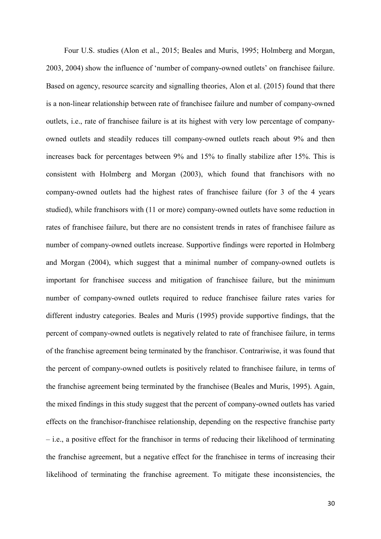Four U.S. studies (Alon et al., 2015; Beales and Muris, 1995; Holmberg and Morgan, 2003, 2004) show the influence of 'number of company-owned outlets' on franchisee failure. Based on agency, resource scarcity and signalling theories, Alon et al. (2015) found that there is a non-linear relationship between rate of franchisee failure and number of company-owned outlets, i.e., rate of franchisee failure is at its highest with very low percentage of companyowned outlets and steadily reduces till company-owned outlets reach about 9% and then increases back for percentages between 9% and 15% to finally stabilize after 15%. This is consistent with Holmberg and Morgan (2003), which found that franchisors with no company-owned outlets had the highest rates of franchisee failure (for 3 of the 4 years studied), while franchisors with (11 or more) company-owned outlets have some reduction in rates of franchisee failure, but there are no consistent trends in rates of franchisee failure as number of company-owned outlets increase. Supportive findings were reported in Holmberg and Morgan (2004), which suggest that a minimal number of company-owned outlets is important for franchisee success and mitigation of franchisee failure, but the minimum number of company-owned outlets required to reduce franchisee failure rates varies for different industry categories. Beales and Muris (1995) provide supportive findings, that the percent of company-owned outlets is negatively related to rate of franchisee failure, in terms of the franchise agreement being terminated by the franchisor. Contrariwise, it was found that the percent of company-owned outlets is positively related to franchisee failure, in terms of the franchise agreement being terminated by the franchisee (Beales and Muris, 1995). Again, the mixed findings in this study suggest that the percent of company-owned outlets has varied effects on the franchisor-franchisee relationship, depending on the respective franchise party – i.e., a positive effect for the franchisor in terms of reducing their likelihood of terminating the franchise agreement, but a negative effect for the franchisee in terms of increasing their likelihood of terminating the franchise agreement. To mitigate these inconsistencies, the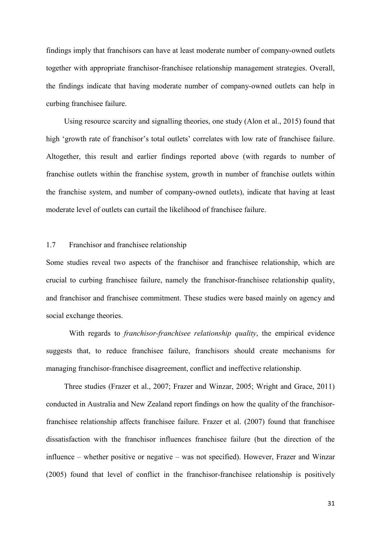findings imply that franchisors can have at least moderate number of company-owned outlets together with appropriate franchisor-franchisee relationship management strategies. Overall, the findings indicate that having moderate number of company-owned outlets can help in curbing franchisee failure.

Using resource scarcity and signalling theories, one study (Alon et al., 2015) found that high 'growth rate of franchisor's total outlets' correlates with low rate of franchisee failure. Altogether, this result and earlier findings reported above (with regards to number of franchise outlets within the franchise system, growth in number of franchise outlets within the franchise system, and number of company-owned outlets), indicate that having at least moderate level of outlets can curtail the likelihood of franchisee failure.

## 1.7 Franchisor and franchisee relationship

Some studies reveal two aspects of the franchisor and franchisee relationship, which are crucial to curbing franchisee failure, namely the franchisor-franchisee relationship quality, and franchisor and franchisee commitment. These studies were based mainly on agency and social exchange theories.

With regards to *franchisor-franchisee relationship quality*, the empirical evidence suggests that, to reduce franchisee failure, franchisors should create mechanisms for managing franchisor-franchisee disagreement, conflict and ineffective relationship.

Three studies (Frazer et al., 2007; Frazer and Winzar, 2005; Wright and Grace, 2011) conducted in Australia and New Zealand report findings on how the quality of the franchisorfranchisee relationship affects franchisee failure. Frazer et al. (2007) found that franchisee dissatisfaction with the franchisor influences franchisee failure (but the direction of the influence – whether positive or negative – was not specified). However, Frazer and Winzar (2005) found that level of conflict in the franchisor-franchisee relationship is positively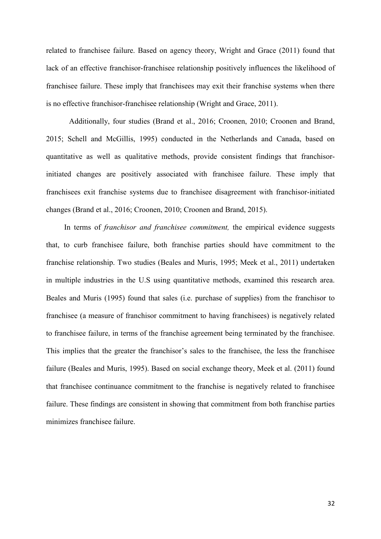related to franchisee failure. Based on agency theory, Wright and Grace (2011) found that lack of an effective franchisor-franchisee relationship positively influences the likelihood of franchisee failure. These imply that franchisees may exit their franchise systems when there is no effective franchisor-franchisee relationship (Wright and Grace, 2011).

Additionally, four studies (Brand et al., 2016; Croonen, 2010; Croonen and Brand, 2015; Schell and McGillis, 1995) conducted in the Netherlands and Canada, based on quantitative as well as qualitative methods, provide consistent findings that franchisorinitiated changes are positively associated with franchisee failure. These imply that franchisees exit franchise systems due to franchisee disagreement with franchisor-initiated changes (Brand et al., 2016; Croonen, 2010; Croonen and Brand, 2015).

In terms of *franchisor and franchisee commitment,* the empirical evidence suggests that, to curb franchisee failure, both franchise parties should have commitment to the franchise relationship. Two studies (Beales and Muris, 1995; Meek et al., 2011) undertaken in multiple industries in the U.S using quantitative methods, examined this research area. Beales and Muris (1995) found that sales (i.e. purchase of supplies) from the franchisor to franchisee (a measure of franchisor commitment to having franchisees) is negatively related to franchisee failure, in terms of the franchise agreement being terminated by the franchisee. This implies that the greater the franchisor's sales to the franchisee, the less the franchisee failure (Beales and Muris, 1995). Based on social exchange theory, Meek et al. (2011) found that franchisee continuance commitment to the franchise is negatively related to franchisee failure. These findings are consistent in showing that commitment from both franchise parties minimizes franchisee failure.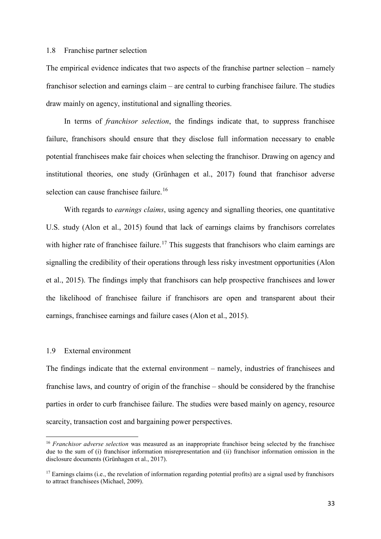#### 1.8 Franchise partner selection

The empirical evidence indicates that two aspects of the franchise partner selection – namely franchisor selection and earnings claim – are central to curbing franchisee failure. The studies draw mainly on agency, institutional and signalling theories.

In terms of *franchisor selection*, the findings indicate that, to suppress franchisee failure, franchisors should ensure that they disclose full information necessary to enable potential franchisees make fair choices when selecting the franchisor. Drawing on agency and institutional theories, one study (Grünhagen et al., 2017) found that franchisor adverse selection can cause franchisee failure.<sup>[16](#page-32-0)</sup>

With regards to *earnings claims*, using agency and signalling theories, one quantitative U.S. study (Alon et al., 2015) found that lack of earnings claims by franchisors correlates with higher rate of franchisee failure.<sup>[17](#page-32-1)</sup> This suggests that franchisors who claim earnings are signalling the credibility of their operations through less risky investment opportunities (Alon et al., 2015). The findings imply that franchisors can help prospective franchisees and lower the likelihood of franchisee failure if franchisors are open and transparent about their earnings, franchisee earnings and failure cases (Alon et al., 2015).

#### 1.9 External environment

The findings indicate that the external environment – namely, industries of franchisees and franchise laws, and country of origin of the franchise – should be considered by the franchise parties in order to curb franchisee failure. The studies were based mainly on agency, resource scarcity, transaction cost and bargaining power perspectives.

<span id="page-32-0"></span><sup>&</sup>lt;sup>16</sup> *Franchisor adverse selection* was measured as an inappropriate franchisor being selected by the franchisee due to the sum of (i) franchisor information misrepresentation and (ii) franchisor information omission in the disclosure documents (Grünhagen et al., 2017).

<span id="page-32-1"></span> $17$  Earnings claims (i.e., the revelation of information regarding potential profits) are a signal used by franchisors to attract franchisees (Michael, 2009).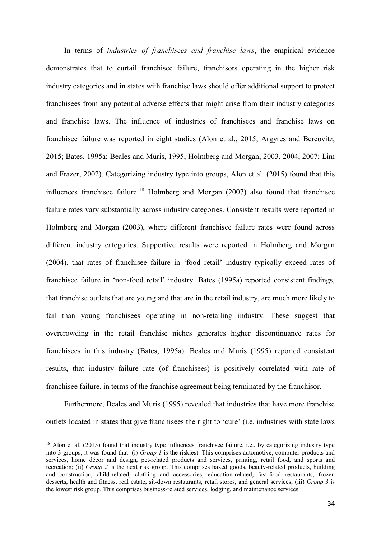In terms of *industries of franchisees and franchise laws*, the empirical evidence demonstrates that to curtail franchisee failure, franchisors operating in the higher risk industry categories and in states with franchise laws should offer additional support to protect franchisees from any potential adverse effects that might arise from their industry categories and franchise laws. The influence of industries of franchisees and franchise laws on franchisee failure was reported in eight studies (Alon et al., 2015; Argyres and Bercovitz, 2015; Bates, 1995a; Beales and Muris, 1995; Holmberg and Morgan, 2003, 2004, 2007; Lim and Frazer, 2002). Categorizing industry type into groups, Alon et al. (2015) found that this influences franchisee failure.<sup>[18](#page-33-0)</sup> Holmberg and Morgan  $(2007)$  also found that franchisee failure rates vary substantially across industry categories. Consistent results were reported in Holmberg and Morgan (2003), where different franchisee failure rates were found across different industry categories. Supportive results were reported in Holmberg and Morgan (2004), that rates of franchisee failure in 'food retail' industry typically exceed rates of franchisee failure in 'non-food retail' industry. Bates (1995a) reported consistent findings, that franchise outlets that are young and that are in the retail industry, are much more likely to fail than young franchisees operating in non-retailing industry. These suggest that overcrowding in the retail franchise niches generates higher discontinuance rates for franchisees in this industry (Bates, 1995a). Beales and Muris (1995) reported consistent results, that industry failure rate (of franchisees) is positively correlated with rate of franchisee failure, in terms of the franchise agreement being terminated by the franchisor.

Furthermore, Beales and Muris (1995) revealed that industries that have more franchise outlets located in states that give franchisees the right to 'cure' (i.e. industries with state laws

<span id="page-33-0"></span><sup>&</sup>lt;sup>18</sup> Alon et al. (2015) found that industry type influences franchisee failure, i.e., by categorizing industry type into 3 groups, it was found that: (i) *Group 1* is the riskiest. This comprises automotive, computer products and services, home décor and design, pet-related products and services, printing, retail food, and sports and recreation; (ii) *Group 2* is the next risk group. This comprises baked goods, beauty-related products, building and construction, child-related, clothing and accessories, education-related, fast-food restaurants, frozen desserts, health and fitness, real estate, sit-down restaurants, retail stores, and general services; (iii) *Group 3* is the lowest risk group. This comprises business-related services, lodging, and maintenance services.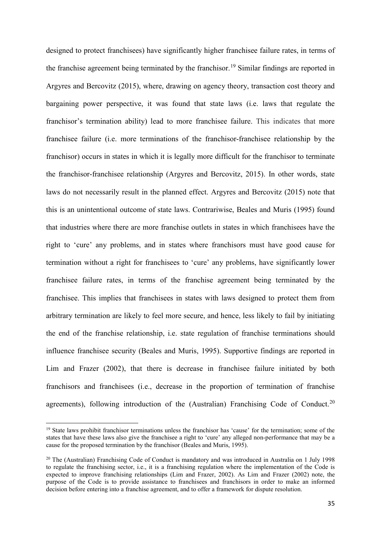designed to protect franchisees) have significantly higher franchisee failure rates, in terms of the franchise agreement being terminated by the franchisor.<sup>[19](#page-34-0)</sup> Similar findings are reported in Argyres and Bercovitz (2015), where, drawing on agency theory, transaction cost theory and bargaining power perspective, it was found that state laws (i.e. laws that regulate the franchisor's termination ability) lead to more franchisee failure. This indicates that more franchisee failure (i.e. more terminations of the franchisor-franchisee relationship by the franchisor) occurs in states in which it is legally more difficult for the franchisor to terminate the franchisor-franchisee relationship (Argyres and Bercovitz, 2015). In other words, state laws do not necessarily result in the planned effect. Argyres and Bercovitz (2015) note that this is an unintentional outcome of state laws. Contrariwise, Beales and Muris (1995) found that industries where there are more franchise outlets in states in which franchisees have the right to 'cure' any problems, and in states where franchisors must have good cause for termination without a right for franchisees to 'cure' any problems, have significantly lower franchisee failure rates, in terms of the franchise agreement being terminated by the franchisee. This implies that franchisees in states with laws designed to protect them from arbitrary termination are likely to feel more secure, and hence, less likely to fail by initiating the end of the franchise relationship, i.e. state regulation of franchise terminations should influence franchisee security (Beales and Muris, 1995). Supportive findings are reported in Lim and Frazer (2002), that there is decrease in franchisee failure initiated by both franchisors and franchisees (i.e., decrease in the proportion of termination of franchise agreements), following introduction of the (Australian) Franchising Code of Conduct.<sup>[20](#page-34-1)</sup>

<span id="page-34-0"></span><sup>&</sup>lt;sup>19</sup> State laws prohibit franchisor terminations unless the franchisor has 'cause' for the termination; some of the states that have these laws also give the franchisee a right to 'cure' any alleged non-performance that may be a cause for the proposed termination by the franchisor (Beales and Muris, 1995).

<span id="page-34-1"></span><sup>&</sup>lt;sup>20</sup> The (Australian) Franchising Code of Conduct is mandatory and was introduced in Australia on 1 July 1998 to regulate the franchising sector, i.e., it is a franchising regulation where the implementation of the Code is expected to improve franchising relationships (Lim and Frazer, 2002). As Lim and Frazer (2002) note, the purpose of the Code is to provide assistance to franchisees and franchisors in order to make an informed decision before entering into a franchise agreement, and to offer a framework for dispute resolution.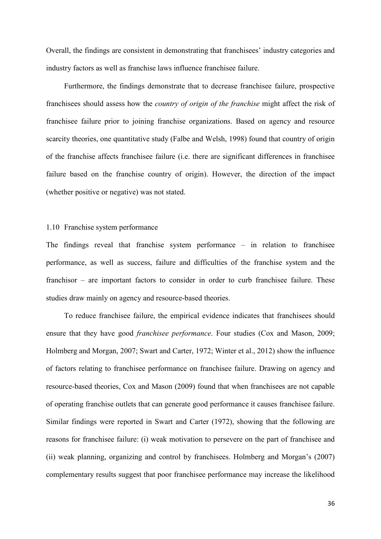Overall, the findings are consistent in demonstrating that franchisees' industry categories and industry factors as well as franchise laws influence franchisee failure.

Furthermore, the findings demonstrate that to decrease franchisee failure, prospective franchisees should assess how the *country of origin of the franchise* might affect the risk of franchisee failure prior to joining franchise organizations. Based on agency and resource scarcity theories, one quantitative study (Falbe and Welsh, 1998) found that country of origin of the franchise affects franchisee failure (i.e. there are significant differences in franchisee failure based on the franchise country of origin). However, the direction of the impact (whether positive or negative) was not stated.

## 1.10 Franchise system performance

The findings reveal that franchise system performance – in relation to franchisee performance, as well as success, failure and difficulties of the franchise system and the franchisor – are important factors to consider in order to curb franchisee failure. These studies draw mainly on agency and resource-based theories.

To reduce franchisee failure, the empirical evidence indicates that franchisees should ensure that they have good *franchisee performance*. Four studies (Cox and Mason, 2009; Holmberg and Morgan, 2007; Swart and Carter, 1972; Winter et al., 2012) show the influence of factors relating to franchisee performance on franchisee failure. Drawing on agency and resource-based theories, Cox and Mason (2009) found that when franchisees are not capable of operating franchise outlets that can generate good performance it causes franchisee failure. Similar findings were reported in Swart and Carter (1972), showing that the following are reasons for franchisee failure: (i) weak motivation to persevere on the part of franchisee and (ii) weak planning, organizing and control by franchisees. Holmberg and Morgan's (2007) complementary results suggest that poor franchisee performance may increase the likelihood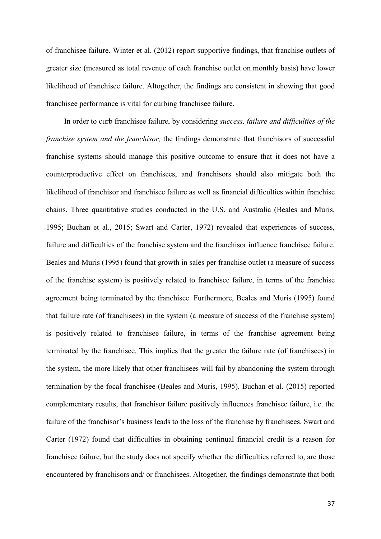of franchisee failure. Winter et al. (2012) report supportive findings, that franchise outlets of greater size (measured as total revenue of each franchise outlet on monthly basis) have lower likelihood of franchisee failure. Altogether, the findings are consistent in showing that good franchisee performance is vital for curbing franchisee failure.

In order to curb franchisee failure, by considering *success, failure and difficulties of the franchise system and the franchisor,* the findings demonstrate that franchisors of successful franchise systems should manage this positive outcome to ensure that it does not have a counterproductive effect on franchisees, and franchisors should also mitigate both the likelihood of franchisor and franchisee failure as well as financial difficulties within franchise chains. Three quantitative studies conducted in the U.S. and Australia (Beales and Muris, 1995; Buchan et al., 2015; Swart and Carter, 1972) revealed that experiences of success, failure and difficulties of the franchise system and the franchisor influence franchisee failure. Beales and Muris (1995) found that growth in sales per franchise outlet (a measure of success of the franchise system) is positively related to franchisee failure, in terms of the franchise agreement being terminated by the franchisee. Furthermore, Beales and Muris (1995) found that failure rate (of franchisees) in the system (a measure of success of the franchise system) is positively related to franchisee failure, in terms of the franchise agreement being terminated by the franchisee. This implies that the greater the failure rate (of franchisees) in the system, the more likely that other franchisees will fail by abandoning the system through termination by the focal franchisee (Beales and Muris, 1995). Buchan et al. (2015) reported complementary results, that franchisor failure positively influences franchisee failure, i.e. the failure of the franchisor's business leads to the loss of the franchise by franchisees. Swart and Carter (1972) found that difficulties in obtaining continual financial credit is a reason for franchisee failure, but the study does not specify whether the difficulties referred to, are those encountered by franchisors and/ or franchisees. Altogether, the findings demonstrate that both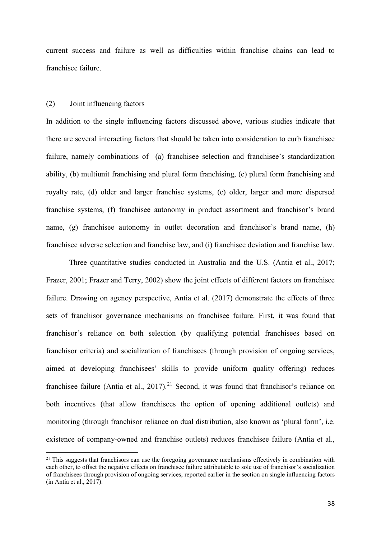current success and failure as well as difficulties within franchise chains can lead to franchisee failure.

#### (2) Joint influencing factors

In addition to the single influencing factors discussed above, various studies indicate that there are several interacting factors that should be taken into consideration to curb franchisee failure, namely combinations of (a) franchisee selection and franchisee's standardization ability, (b) multiunit franchising and plural form franchising, (c) plural form franchising and royalty rate, (d) older and larger franchise systems, (e) older, larger and more dispersed franchise systems, (f) franchisee autonomy in product assortment and franchisor's brand name, (g) franchisee autonomy in outlet decoration and franchisor's brand name, (h) franchisee adverse selection and franchise law, and (i) franchisee deviation and franchise law.

Three quantitative studies conducted in Australia and the U.S. (Antia et al., 2017; Frazer, 2001; Frazer and Terry, 2002) show the joint effects of different factors on franchisee failure. Drawing on agency perspective, Antia et al. (2017) demonstrate the effects of three sets of franchisor governance mechanisms on franchisee failure. First, it was found that franchisor's reliance on both selection (by qualifying potential franchisees based on franchisor criteria) and socialization of franchisees (through provision of ongoing services, aimed at developing franchisees' skills to provide uniform quality offering) reduces franchisee failure (Antia et al., 2017).<sup>[21](#page-37-0)</sup> Second, it was found that franchisor's reliance on both incentives (that allow franchisees the option of opening additional outlets) and monitoring (through franchisor reliance on dual distribution, also known as 'plural form', i.e. existence of company-owned and franchise outlets) reduces franchisee failure (Antia et al.,

<span id="page-37-0"></span> $21$  This suggests that franchisors can use the foregoing governance mechanisms effectively in combination with each other, to offset the negative effects on franchisee failure attributable to sole use of franchisor's socialization of franchisees through provision of ongoing services, reported earlier in the section on single influencing factors (in Antia et al., 2017).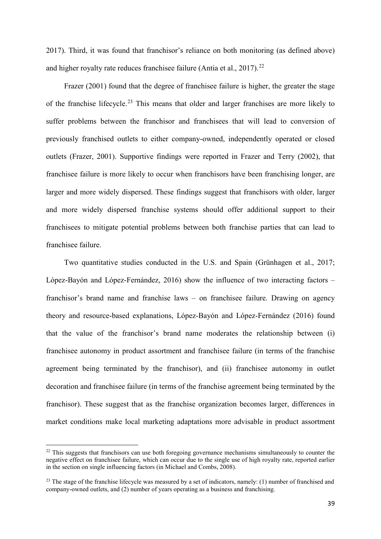2017). Third, it was found that franchisor's reliance on both monitoring (as defined above) and higher royalty rate reduces franchisee failure (Antia et al.,  $2017$ ).<sup>[22](#page-38-0)</sup>

Frazer (2001) found that the degree of franchisee failure is higher, the greater the stage of the franchise lifecycle.<sup>[23](#page-38-1)</sup> This means that older and larger franchises are more likely to suffer problems between the franchisor and franchisees that will lead to conversion of previously franchised outlets to either company-owned, independently operated or closed outlets (Frazer, 2001). Supportive findings were reported in Frazer and Terry (2002), that franchisee failure is more likely to occur when franchisors have been franchising longer, are larger and more widely dispersed. These findings suggest that franchisors with older, larger and more widely dispersed franchise systems should offer additional support to their franchisees to mitigate potential problems between both franchise parties that can lead to franchisee failure.

Two quantitative studies conducted in the U.S. and Spain (Grünhagen et al., 2017; López-Bayón and López-Fernández, 2016) show the influence of two interacting factors – franchisor's brand name and franchise laws – on franchisee failure. Drawing on agency theory and resource-based explanations, López-Bayón and López-Fernández (2016) found that the value of the franchisor's brand name moderates the relationship between (i) franchisee autonomy in product assortment and franchisee failure (in terms of the franchise agreement being terminated by the franchisor), and (ii) franchisee autonomy in outlet decoration and franchisee failure (in terms of the franchise agreement being terminated by the franchisor). These suggest that as the franchise organization becomes larger, differences in market conditions make local marketing adaptations more advisable in product assortment

<span id="page-38-0"></span><sup>&</sup>lt;sup>22</sup> This suggests that franchisors can use both foregoing governance mechanisms simultaneously to counter the negative effect on franchisee failure, which can occur due to the single use of high royalty rate, reported earlier in the section on single influencing factors (in Michael and Combs, 2008).

<span id="page-38-1"></span><sup>&</sup>lt;sup>23</sup> The stage of the franchise lifecycle was measured by a set of indicators, namely: (1) number of franchised and company-owned outlets, and (2) number of years operating as a business and franchising.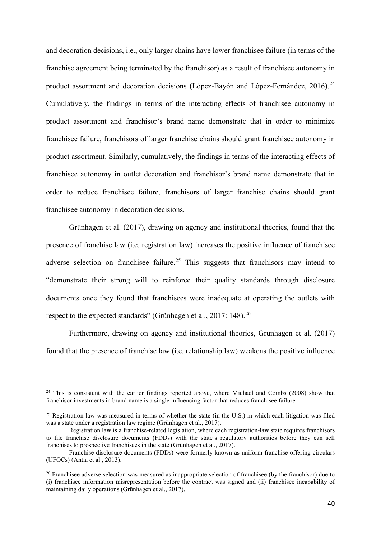and decoration decisions, i.e., only larger chains have lower franchisee failure (in terms of the franchise agreement being terminated by the franchisor) as a result of franchisee autonomy in product assortment and decoration decisions (López-Bayón and López-Fernández,  $2016$ ).<sup>[24](#page-39-0)</sup> Cumulatively, the findings in terms of the interacting effects of franchisee autonomy in product assortment and franchisor's brand name demonstrate that in order to minimize franchisee failure, franchisors of larger franchise chains should grant franchisee autonomy in product assortment. Similarly, cumulatively, the findings in terms of the interacting effects of franchisee autonomy in outlet decoration and franchisor's brand name demonstrate that in order to reduce franchisee failure, franchisors of larger franchise chains should grant franchisee autonomy in decoration decisions.

Grünhagen et al. (2017), drawing on agency and institutional theories, found that the presence of franchise law (i.e. registration law) increases the positive influence of franchisee adverse selection on franchisee failure.<sup>[25](#page-39-1)</sup> This suggests that franchisors may intend to "demonstrate their strong will to reinforce their quality standards through disclosure documents once they found that franchisees were inadequate at operating the outlets with respect to the expected standards" (Grünhagen et al., 2017: 148).<sup>[26](#page-39-2)</sup>

Furthermore, drawing on agency and institutional theories, Grünhagen et al. (2017) found that the presence of franchise law (i.e. relationship law) weakens the positive influence

<span id="page-39-0"></span> $24$  This is consistent with the earlier findings reported above, where Michael and Combs (2008) show that franchisor investments in brand name is a single influencing factor that reduces franchisee failure.

<span id="page-39-1"></span><sup>&</sup>lt;sup>25</sup> Registration law was measured in terms of whether the state (in the U.S.) in which each litigation was filed was a state under a registration law regime (Grünhagen et al., 2017).

Registration law is a franchise-related legislation, where each registration-law state requires franchisors to file franchise disclosure documents (FDDs) with the state's regulatory authorities before they can sell franchises to prospective franchisees in the state (Grünhagen et al., 2017).

Franchise disclosure documents (FDDs) were formerly known as uniform franchise offering circulars (UFOCs) (Antia et al., 2013).

<span id="page-39-2"></span><sup>&</sup>lt;sup>26</sup> Franchisee adverse selection was measured as inappropriate selection of franchisee (by the franchisor) due to (i) franchisee information misrepresentation before the contract was signed and (ii) franchisee incapability of maintaining daily operations (Grünhagen et al., 2017).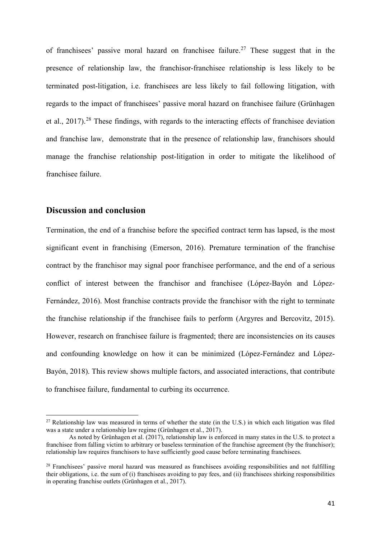of franchisees' passive moral hazard on franchisee failure.<sup>[27](#page-40-0)</sup> These suggest that in the presence of relationship law, the franchisor-franchisee relationship is less likely to be terminated post-litigation, i.e. franchisees are less likely to fail following litigation, with regards to the impact of franchisees' passive moral hazard on franchisee failure (Grünhagen et al., 2017).<sup>[28](#page-40-1)</sup> These findings, with regards to the interacting effects of franchisee deviation and franchise law, demonstrate that in the presence of relationship law, franchisors should manage the franchise relationship post-litigation in order to mitigate the likelihood of franchisee failure.

## **Discussion and conclusion**

Termination, the end of a franchise before the specified contract term has lapsed, is the most significant event in franchising (Emerson, 2016). Premature termination of the franchise contract by the franchisor may signal poor franchisee performance, and the end of a serious conflict of interest between the franchisor and franchisee (López-Bayón and López-Fernández, 2016). Most franchise contracts provide the franchisor with the right to terminate the franchise relationship if the franchisee fails to perform (Argyres and Bercovitz, 2015). However, research on franchisee failure is fragmented; there are inconsistencies on its causes and confounding knowledge on how it can be minimized (López-Fernández and López-Bayón, 2018). This review shows multiple factors, and associated interactions, that contribute to franchisee failure, fundamental to curbing its occurrence.

<span id="page-40-0"></span><sup>&</sup>lt;sup>27</sup> Relationship law was measured in terms of whether the state (in the U.S.) in which each litigation was filed was a state under a relationship law regime (Grünhagen et al., 2017).

As noted by Grünhagen et al. (2017), relationship law is enforced in many states in the U.S. to protect a franchisee from falling victim to arbitrary or baseless termination of the franchise agreement (by the franchisor); relationship law requires franchisors to have sufficiently good cause before terminating franchisees.

<span id="page-40-1"></span><sup>&</sup>lt;sup>28</sup> Franchisees' passive moral hazard was measured as franchisees avoiding responsibilities and not fulfilling their obligations, i.e. the sum of (i) franchisees avoiding to pay fees, and (ii) franchisees shirking responsibilities in operating franchise outlets (Grünhagen et al., 2017).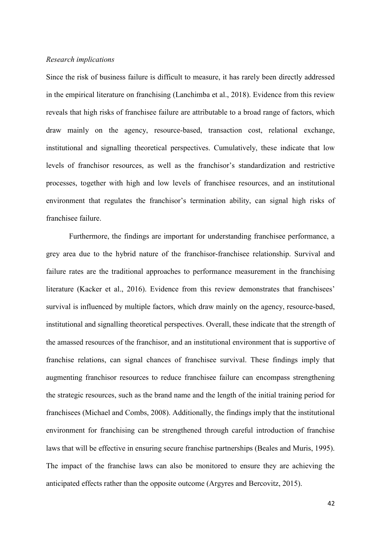#### *Research implications*

Since the risk of business failure is difficult to measure, it has rarely been directly addressed in the empirical literature on franchising (Lanchimba et al., 2018). Evidence from this review reveals that high risks of franchisee failure are attributable to a broad range of factors, which draw mainly on the agency, resource-based, transaction cost, relational exchange, institutional and signalling theoretical perspectives. Cumulatively, these indicate that low levels of franchisor resources, as well as the franchisor's standardization and restrictive processes, together with high and low levels of franchisee resources, and an institutional environment that regulates the franchisor's termination ability, can signal high risks of franchisee failure.

Furthermore, the findings are important for understanding franchisee performance, a grey area due to the hybrid nature of the franchisor-franchisee relationship. Survival and failure rates are the traditional approaches to performance measurement in the franchising literature (Kacker et al., 2016). Evidence from this review demonstrates that franchisees' survival is influenced by multiple factors, which draw mainly on the agency, resource-based, institutional and signalling theoretical perspectives. Overall, these indicate that the strength of the amassed resources of the franchisor, and an institutional environment that is supportive of franchise relations, can signal chances of franchisee survival. These findings imply that augmenting franchisor resources to reduce franchisee failure can encompass strengthening the strategic resources, such as the brand name and the length of the initial training period for franchisees (Michael and Combs, 2008). Additionally, the findings imply that the institutional environment for franchising can be strengthened through careful introduction of franchise laws that will be effective in ensuring secure franchise partnerships (Beales and Muris, 1995). The impact of the franchise laws can also be monitored to ensure they are achieving the anticipated effects rather than the opposite outcome (Argyres and Bercovitz, 2015).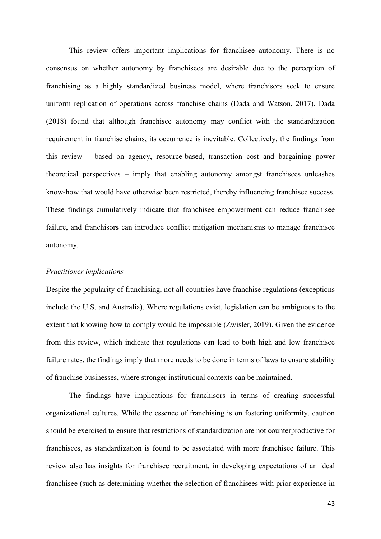This review offers important implications for franchisee autonomy. There is no consensus on whether autonomy by franchisees are desirable due to the perception of franchising as a highly standardized business model, where franchisors seek to ensure uniform replication of operations across franchise chains (Dada and Watson, 2017). Dada (2018) found that although franchisee autonomy may conflict with the standardization requirement in franchise chains, its occurrence is inevitable. Collectively, the findings from this review – based on agency, resource-based, transaction cost and bargaining power theoretical perspectives – imply that enabling autonomy amongst franchisees unleashes know-how that would have otherwise been restricted, thereby influencing franchisee success. These findings cumulatively indicate that franchisee empowerment can reduce franchisee failure, and franchisors can introduce conflict mitigation mechanisms to manage franchisee autonomy.

#### *Practitioner implications*

Despite the popularity of franchising, not all countries have franchise regulations (exceptions include the U.S. and Australia). Where regulations exist, legislation can be ambiguous to the extent that knowing how to comply would be impossible (Zwisler, 2019). Given the evidence from this review, which indicate that regulations can lead to both high and low franchisee failure rates, the findings imply that more needs to be done in terms of laws to ensure stability of franchise businesses, where stronger institutional contexts can be maintained.

The findings have implications for franchisors in terms of creating successful organizational cultures. While the essence of franchising is on fostering uniformity, caution should be exercised to ensure that restrictions of standardization are not counterproductive for franchisees, as standardization is found to be associated with more franchisee failure. This review also has insights for franchisee recruitment, in developing expectations of an ideal franchisee (such as determining whether the selection of franchisees with prior experience in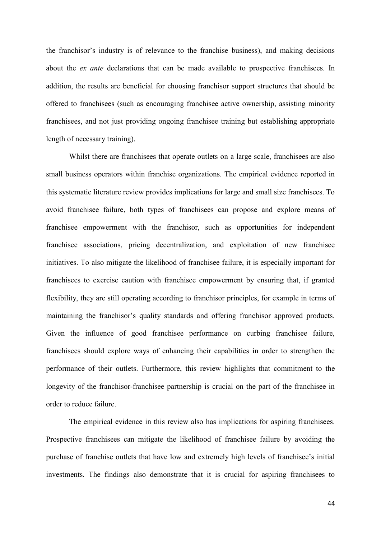the franchisor's industry is of relevance to the franchise business), and making decisions about the *ex ante* declarations that can be made available to prospective franchisees. In addition, the results are beneficial for choosing franchisor support structures that should be offered to franchisees (such as encouraging franchisee active ownership, assisting minority franchisees, and not just providing ongoing franchisee training but establishing appropriate length of necessary training).

Whilst there are franchisees that operate outlets on a large scale, franchisees are also small business operators within franchise organizations. The empirical evidence reported in this systematic literature review provides implications for large and small size franchisees. To avoid franchisee failure, both types of franchisees can propose and explore means of franchisee empowerment with the franchisor, such as opportunities for independent franchisee associations, pricing decentralization, and exploitation of new franchisee initiatives. To also mitigate the likelihood of franchisee failure, it is especially important for franchisees to exercise caution with franchisee empowerment by ensuring that, if granted flexibility, they are still operating according to franchisor principles, for example in terms of maintaining the franchisor's quality standards and offering franchisor approved products. Given the influence of good franchisee performance on curbing franchisee failure, franchisees should explore ways of enhancing their capabilities in order to strengthen the performance of their outlets. Furthermore, this review highlights that commitment to the longevity of the franchisor-franchisee partnership is crucial on the part of the franchisee in order to reduce failure.

The empirical evidence in this review also has implications for aspiring franchisees. Prospective franchisees can mitigate the likelihood of franchisee failure by avoiding the purchase of franchise outlets that have low and extremely high levels of franchisee's initial investments. The findings also demonstrate that it is crucial for aspiring franchisees to

44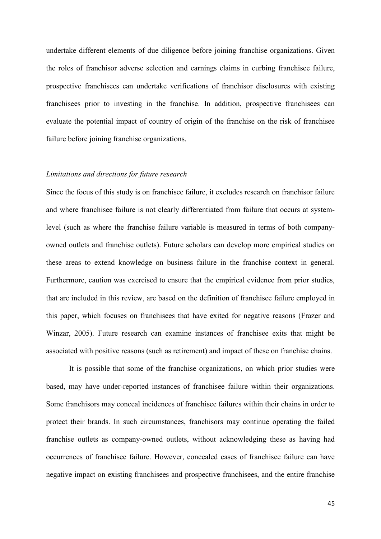undertake different elements of due diligence before joining franchise organizations. Given the roles of franchisor adverse selection and earnings claims in curbing franchisee failure, prospective franchisees can undertake verifications of franchisor disclosures with existing franchisees prior to investing in the franchise. In addition, prospective franchisees can evaluate the potential impact of country of origin of the franchise on the risk of franchisee failure before joining franchise organizations.

#### *Limitations and directions for future research*

Since the focus of this study is on franchisee failure, it excludes research on franchisor failure and where franchisee failure is not clearly differentiated from failure that occurs at systemlevel (such as where the franchise failure variable is measured in terms of both companyowned outlets and franchise outlets). Future scholars can develop more empirical studies on these areas to extend knowledge on business failure in the franchise context in general. Furthermore, caution was exercised to ensure that the empirical evidence from prior studies, that are included in this review, are based on the definition of franchisee failure employed in this paper, which focuses on franchisees that have exited for negative reasons (Frazer and Winzar, 2005). Future research can examine instances of franchisee exits that might be associated with positive reasons (such as retirement) and impact of these on franchise chains.

It is possible that some of the franchise organizations, on which prior studies were based, may have under-reported instances of franchisee failure within their organizations. Some franchisors may conceal incidences of franchisee failures within their chains in order to protect their brands. In such circumstances, franchisors may continue operating the failed franchise outlets as company-owned outlets, without acknowledging these as having had occurrences of franchisee failure. However, concealed cases of franchisee failure can have negative impact on existing franchisees and prospective franchisees, and the entire franchise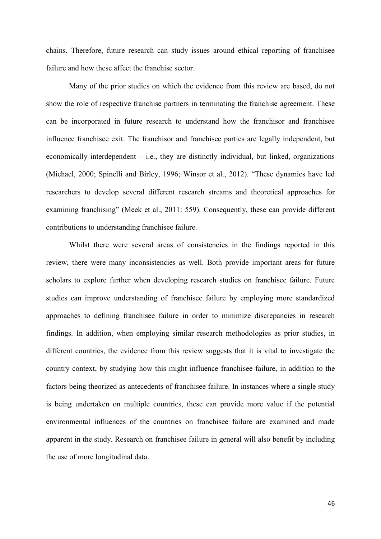chains. Therefore, future research can study issues around ethical reporting of franchisee failure and how these affect the franchise sector.

Many of the prior studies on which the evidence from this review are based, do not show the role of respective franchise partners in terminating the franchise agreement. These can be incorporated in future research to understand how the franchisor and franchisee influence franchisee exit. The franchisor and franchisee parties are legally independent, but economically interdependent – i.e., they are distinctly individual, but linked, organizations (Michael, 2000; Spinelli and Birley, 1996; Winsor et al., 2012). "These dynamics have led researchers to develop several different research streams and theoretical approaches for examining franchising" (Meek et al., 2011: 559). Consequently, these can provide different contributions to understanding franchisee failure.

Whilst there were several areas of consistencies in the findings reported in this review, there were many inconsistencies as well. Both provide important areas for future scholars to explore further when developing research studies on franchisee failure. Future studies can improve understanding of franchisee failure by employing more standardized approaches to defining franchisee failure in order to minimize discrepancies in research findings. In addition, when employing similar research methodologies as prior studies, in different countries, the evidence from this review suggests that it is vital to investigate the country context, by studying how this might influence franchisee failure, in addition to the factors being theorized as antecedents of franchisee failure. In instances where a single study is being undertaken on multiple countries, these can provide more value if the potential environmental influences of the countries on franchisee failure are examined and made apparent in the study. Research on franchisee failure in general will also benefit by including the use of more longitudinal data.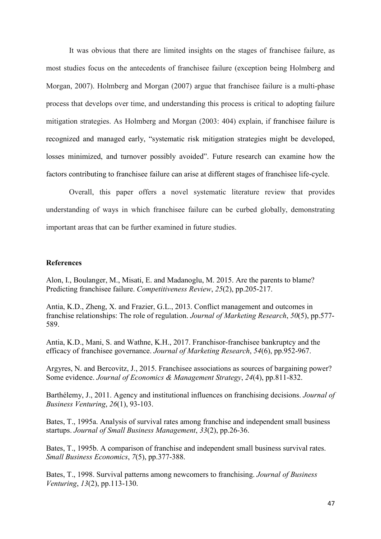It was obvious that there are limited insights on the stages of franchisee failure, as most studies focus on the antecedents of franchisee failure (exception being Holmberg and Morgan, 2007). Holmberg and Morgan (2007) argue that franchisee failure is a multi-phase process that develops over time, and understanding this process is critical to adopting failure mitigation strategies. As Holmberg and Morgan (2003: 404) explain, if franchisee failure is recognized and managed early, "systematic risk mitigation strategies might be developed, losses minimized, and turnover possibly avoided". Future research can examine how the factors contributing to franchisee failure can arise at different stages of franchisee life-cycle.

Overall, this paper offers a novel systematic literature review that provides understanding of ways in which franchisee failure can be curbed globally, demonstrating important areas that can be further examined in future studies.

## **References**

Alon, I., Boulanger, M., Misati, E. and Madanoglu, M. 2015. Are the parents to blame? Predicting franchisee failure. *Competitiveness Review*, *25*(2), pp.205-217.

Antia, K.D., Zheng, X. and Frazier, G.L., 2013. Conflict management and outcomes in franchise relationships: The role of regulation. *Journal of Marketing Research*, *50*(5), pp.577- 589.

Antia, K.D., Mani, S. and Wathne, K.H., 2017. Franchisor-franchisee bankruptcy and the efficacy of franchisee governance. *Journal of Marketing Research*, *54*(6), pp.952-967.

Argyres, N. and Bercovitz, J., 2015. Franchisee associations as sources of bargaining power? Some evidence. *Journal of Economics & Management Strategy*, *24*(4), pp.811-832.

Barthélemy, J., 2011. Agency and institutional influences on franchising decisions. *Journal of Business Venturing*, *26*(1), 93-103.

Bates, T., 1995a. Analysis of survival rates among franchise and independent small business startups. *Journal of Small Business Management*, *33*(2), pp.26-36.

Bates, T., 1995b. A comparison of franchise and independent small business survival rates. *Small Business Economics*, *7*(5), pp.377-388.

Bates, T., 1998. Survival patterns among newcomers to franchising. *Journal of Business Venturing*, *13*(2), pp.113-130.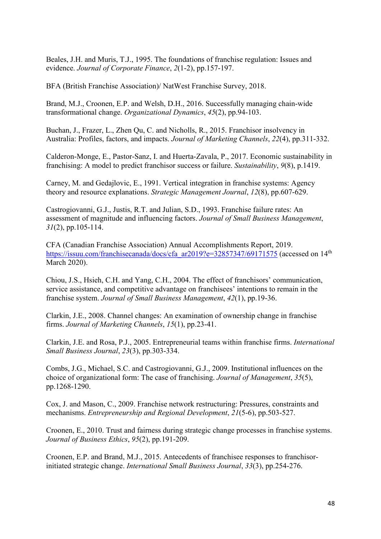Beales, J.H. and Muris, T.J., 1995. The foundations of franchise regulation: Issues and evidence. *Journal of Corporate Finance*, *2*(1-2), pp.157-197.

BFA (British Franchise Association)/ NatWest Franchise Survey, 2018.

Brand, M.J., Croonen, E.P. and Welsh, D.H., 2016. Successfully managing chain-wide transformational change. *Organizational Dynamics*, *45*(2), pp.94-103.

Buchan, J., Frazer, L., Zhen Qu, C. and Nicholls, R., 2015. Franchisor insolvency in Australia: Profiles, factors, and impacts. *Journal of Marketing Channels*, *22*(4), pp.311-332.

Calderon-Monge, E., Pastor-Sanz, I. and Huerta-Zavala, P., 2017. Economic sustainability in franchising: A model to predict franchisor success or failure. *Sustainability*, *9*(8), p.1419.

Carney, M. and Gedajlovic, E., 1991. Vertical integration in franchise systems: Agency theory and resource explanations. *Strategic Management Journal*, *12*(8), pp.607-629.

Castrogiovanni, G.J., Justis, R.T. and Julian, S.D., 1993. Franchise failure rates: An assessment of magnitude and influencing factors. *Journal of Small Business Management*, *31*(2), pp.105-114.

CFA (Canadian Franchise Association) Annual Accomplishments Report, 2019. [https://issuu.com/franchisecanada/docs/cfa\\_ar2019?e=32857347/69171575](https://issuu.com/franchisecanada/docs/cfa_ar2019?e=32857347/69171575) (accessed on 14<sup>th</sup> March 2020).

Chiou, J.S., Hsieh, C.H. and Yang, C.H., 2004. The effect of franchisors' communication, service assistance, and competitive advantage on franchisees' intentions to remain in the franchise system. *Journal of Small Business Management*, *42*(1), pp.19-36.

Clarkin, J.E., 2008. Channel changes: An examination of ownership change in franchise firms. *Journal of Marketing Channels*, *15*(1), pp.23-41.

Clarkin, J.E. and Rosa, P.J., 2005. Entrepreneurial teams within franchise firms. *International Small Business Journal*, *23*(3), pp.303-334.

Combs, J.G., Michael, S.C. and Castrogiovanni, G.J., 2009. Institutional influences on the choice of organizational form: The case of franchising. *Journal of Management*, *35*(5), pp.1268-1290.

Cox, J. and Mason, C., 2009. Franchise network restructuring: Pressures, constraints and mechanisms. *Entrepreneurship and Regional Development*, *21*(5-6), pp.503-527.

Croonen, E., 2010. Trust and fairness during strategic change processes in franchise systems. *Journal of Business Ethics*, *95*(2), pp.191-209.

Croonen, E.P. and Brand, M.J., 2015. Antecedents of franchisee responses to franchisorinitiated strategic change. *International Small Business Journal*, *33*(3), pp.254-276.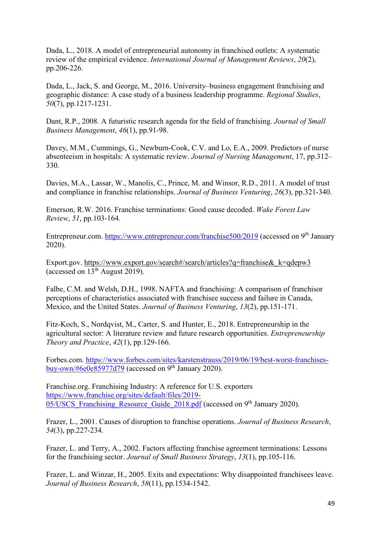Dada, L., 2018. A model of entrepreneurial autonomy in franchised outlets: A systematic review of the empirical evidence. *International Journal of Management Reviews*, *20*(2), pp.206-226.

Dada, L., Jack, S. and George, M., 2016. University–business engagement franchising and geographic distance: A case study of a business leadership programme. *Regional Studies*, *50*(7), pp.1217-1231.

Dant, R.P., 2008. A futuristic research agenda for the field of franchising. *Journal of Small Business Management*, *46*(1), pp.91-98.

Davey, M.M., Cummings, G., Newburn-Cook, C.V. and Lo, E.A., 2009. Predictors of nurse absenteeism in hospitals: A systematic review. *Journal of Nursing Management*, 17, pp.312– 330.

Davies, M.A., Lassar, W., Manolis, C., Prince, M. and Winsor, R.D., 2011. A model of trust and compliance in franchise relationships. *Journal of Business Venturing*, *26*(3), pp.321-340.

Emerson, R.W. 2016. Franchise terminations: Good cause decoded. *Wake Forest Law Review*, *51*, pp.103-164.

Entrepreneur.com. <https://www.entrepreneur.com/franchise500/2019> (accessed on 9<sup>th</sup> January 2020).

Export.gov. https://www.export.gov/search#/search/articles?q=franchise& k=qdepw3 (accessed on  $13<sup>th</sup>$  August 2019).

Falbe, C.M. and Welsh, D.H., 1998. NAFTA and franchising: A comparison of franchisor perceptions of characteristics associated with franchisee success and failure in Canada, Mexico, and the United States. *Journal of Business Venturing*, *13*(2), pp.151-171.

Fitz-Koch, S., Nordqvist, M., Carter, S. and Hunter, E., 2018. Entrepreneurship in the agricultural sector: A literature review and future research opportunities. *Entrepreneurship Theory and Practice*, *42*(1), pp.129-166.

Forbes.com. [https://www.forbes.com/sites/karstenstrauss/2019/06/19/best-worst-franchises](https://www.forbes.com/sites/karstenstrauss/2019/06/19/best-worst-franchises-buy-own/#6e0e85977d79)buy-own/#6e $\overline{0e85977d79}$  (accessed on 9<sup>th</sup> January 2020).

Franchise.org. Franchising Industry: A reference for U.S. exporters [https://www.franchise.org/sites/default/files/2019-](https://www.franchise.org/sites/default/files/2019-05/USCS_Franchising_Resource_Guide_2018.pdf) 05/USCS Franchising Resource Guide 2018.pdf (accessed on 9<sup>th</sup> January 2020).

Frazer, L., 2001. Causes of disruption to franchise operations. *Journal of Business Research*, *54*(3), pp.227-234.

Frazer, L. and Terry, A., 2002. Factors affecting franchise agreement terminations: Lessons for the franchising sector. *Journal of Small Business Strategy*, *13*(1), pp.105-116.

Frazer, L. and Winzar, H., 2005. Exits and expectations: Why disappointed franchisees leave. *Journal of Business Research*, *58*(11), pp.1534-1542.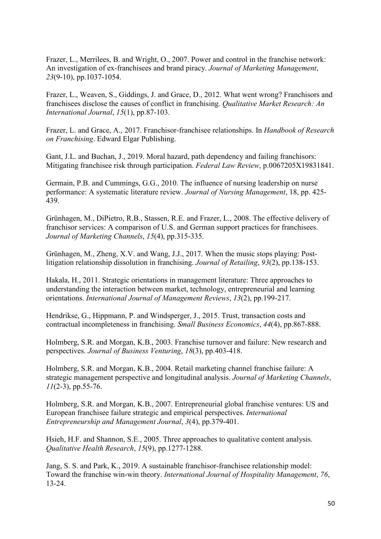Frazer, L., Merrilees, B. and Wright, O., 2007. Power and control in the franchise network: An investigation of ex-franchisees and brand piracy. *Journal of Marketing Management*, *23*(9-10), pp.1037-1054.

Frazer, L., Weaven, S., Giddings, J. and Grace, D., 2012. What went wrong? Franchisors and franchisees disclose the causes of conflict in franchising. *Qualitative Market Research: An International Journal*, *15*(1), pp.87-103.

Frazer, L. and Grace, A., 2017. Franchisor-franchisee relationships. In *Handbook of Research on Franchising*. Edward Elgar Publishing.

Gant, J.L. and Buchan, J., 2019. Moral hazard, path dependency and failing franchisors: Mitigating franchisee risk through participation. *Federal Law Review*, p.0067205X19831841.

Germain, P.B. and Cummings, G.G., 2010. The influence of nursing leadership on nurse performance: A systematic literature review. *Journal of Nursing Management*, 18, pp. 425- 439.

Grünhagen, M., DiPietro, R.B., Stassen, R.E. and Frazer, L., 2008. The effective delivery of franchisor services: A comparison of U.S. and German support practices for franchisees. *Journal of Marketing Channels*, *15*(4), pp.315-335.

Grünhagen, M., Zheng, X.V. and Wang, J.J., 2017. When the music stops playing: Postlitigation relationship dissolution in franchising. *Journal of Retailing*, *93*(2), pp.138-153.

Hakala, H., 2011. Strategic orientations in management literature: Three approaches to understanding the interaction between market, technology, entrepreneurial and learning orientations. *International Journal of Management Reviews*, *13*(2), pp.199-217.

Hendrikse, G., Hippmann, P. and Windsperger, J., 2015. Trust, transaction costs and contractual incompleteness in franchising. *Small Business Economics*, *44*(4), pp.867-888.

Holmberg, S.R. and Morgan, K.B., 2003. Franchise turnover and failure: New research and perspectives. *Journal of Business Venturing*, *18*(3), pp.403-418.

Holmberg, S.R. and Morgan, K.B., 2004. Retail marketing channel franchise failure: A strategic management perspective and longitudinal analysis. *Journal of Marketing Channels*, *11*(2-3), pp.55-76.

Holmberg, S.R. and Morgan, K.B., 2007. Entrepreneurial global franchise ventures: US and European franchisee failure strategic and empirical perspectives. *International Entrepreneurship and Management Journal*, *3*(4), pp.379-401.

Hsieh, H.F. and Shannon, S.E., 2005. Three approaches to qualitative content analysis. *Qualitative Health Research*, *15*(9), pp.1277-1288.

Jang, S. S. and Park, K., 2019. A sustainable franchisor-franchisee relationship model: Toward the franchise win-win theory. *International Journal of Hospitality Management*, *76*, 13-24.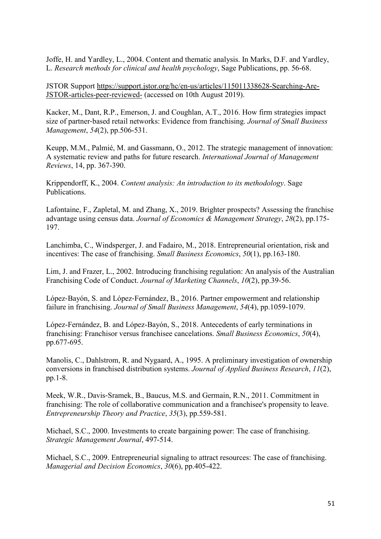Joffe, H. and Yardley, L., 2004. Content and thematic analysis. In Marks, D.F. and Yardley, L. *Research methods for clinical and health psychology*, Sage Publications, pp. 56-68.

JSTOR Support [https://support.jstor.org/hc/en-us/articles/115011338628-Searching-Are-](https://support.jstor.org/hc/en-us/articles/115011338628-Searching-Are-JSTOR-articles-peer-reviewed-)[JSTOR-articles-peer-reviewed-](https://support.jstor.org/hc/en-us/articles/115011338628-Searching-Are-JSTOR-articles-peer-reviewed-) (accessed on 10th August 2019).

Kacker, M., Dant, R.P., Emerson, J. and Coughlan, A.T., 2016. How firm strategies impact size of partner‐based retail networks: Evidence from franchising. *Journal of Small Business Management*, *54*(2), pp.506-531.

Keupp, M.M., Palmié, M. and Gassmann, O., 2012. The strategic management of innovation: A systematic review and paths for future research. *International Journal of Management Reviews*, 14, pp. 367-390.

Krippendorff, K., 2004. *Content analysis: An introduction to its methodology*. Sage Publications.

Lafontaine, F., Zapletal, M. and Zhang, X., 2019. Brighter prospects? Assessing the franchise advantage using census data. *Journal of Economics & Management Strategy*, *28*(2), pp.175- 197.

Lanchimba, C., Windsperger, J. and Fadairo, M., 2018. Entrepreneurial orientation, risk and incentives: The case of franchising. *Small Business Economics*, *50*(1), pp.163-180.

Lim, J. and Frazer, L., 2002. Introducing franchising regulation: An analysis of the Australian Franchising Code of Conduct. *Journal of Marketing Channels*, *10*(2), pp.39-56.

López‐Bayón, S. and López‐Fernández, B., 2016. Partner empowerment and relationship failure in franchising. *Journal of Small Business Management*, *54*(4), pp.1059-1079.

López-Fernández, B. and López-Bayón, S., 2018. Antecedents of early terminations in franchising: Franchisor versus franchisee cancelations. *Small Business Economics*, *50*(4), pp.677-695.

Manolis, C., Dahlstrom, R. and Nygaard, A., 1995. A preliminary investigation of ownership conversions in franchised distribution systems. *Journal of Applied Business Research*, *11*(2), pp.1-8.

Meek, W.R., Davis‐Sramek, B., Baucus, M.S. and Germain, R.N., 2011. Commitment in franchising: The role of collaborative communication and a franchisee's propensity to leave. *Entrepreneurship Theory and Practice*, *35*(3), pp.559-581.

Michael, S.C., 2000. Investments to create bargaining power: The case of franchising. *Strategic Management Journal*, 497-514.

Michael, S.C., 2009. Entrepreneurial signaling to attract resources: The case of franchising. *Managerial and Decision Economics*, *30*(6), pp.405-422.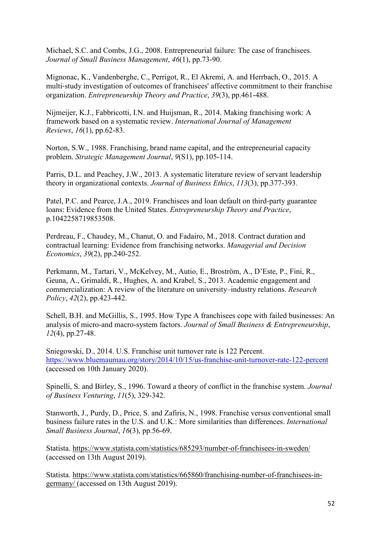Michael, S.C. and Combs, J.G., 2008. Entrepreneurial failure: The case of franchisees. *Journal of Small Business Management*, *46*(1), pp.73-90.

Mignonac, K., Vandenberghe, C., Perrigot, R., El Akremi, A. and Herrbach, O., 2015. A multi‐study investigation of outcomes of franchisees' affective commitment to their franchise organization. *Entrepreneurship Theory and Practice*, *39*(3), pp.461-488.

Nijmeijer, K.J., Fabbricotti, I.N. and Huijsman, R., 2014. Making franchising work: A framework based on a systematic review. *International Journal of Management Reviews*, *16*(1), pp.62-83.

Norton, S.W., 1988. Franchising, brand name capital, and the entrepreneurial capacity problem. *Strategic Management Journal*, *9*(S1), pp.105-114.

Parris, D.L. and Peachey, J.W., 2013. A systematic literature review of servant leadership theory in organizational contexts. *Journal of Business Ethics*, *113*(3), pp.377-393.

Patel, P.C. and Pearce, J.A., 2019. Franchisees and loan default on third-party guarantee loans: Evidence from the United States. *Entrepreneurship Theory and Practice*, p.1042258719853508.

Perdreau, F., Chaudey, M., Chanut, O. and Fadairo, M., 2018. Contract duration and contractual learning: Evidence from franchising networks. *Managerial and Decision Economics*, *39*(2), pp.240-252.

Perkmann, M., Tartari, V., McKelvey, M., Autio, E., Broström, A., D'Este, P., Fini, R., Geuna, A., Grimaldi, R., Hughes, A. and Krabel, S., 2013. Academic engagement and commercialization: A review of the literature on university–industry relations. *Research Policy*, *42*(2), pp.423-442.

Schell, B.H. and McGillis, S., 1995. How Type A franchisees cope with failed businesses: An analysis of micro-and macro-system factors. *Journal of Small Business & Entrepreneurship*, *12*(4), pp.27-48.

Sniegowski, D., 2014. U.S. Franchise unit turnover rate is 122 Percent. <https://www.bluemaumau.org/story/2014/10/15/us-franchise-unit-turnover-rate-122-percent> (accessed on 10th January 2020).

Spinelli, S. and Birley, S., 1996. Toward a theory of conflict in the franchise system. *Journal of Business Venturing*, *11*(5), 329-342.

Stanworth, J., Purdy, D., Price, S. and Zafiris, N., 1998. Franchise versus conventional small business failure rates in the U.S. and U.K.: More similarities than differences. *International Small Business Journal*, *16*(3), pp.56-69.

Statista. <https://www.statista.com/statistics/685293/number-of-franchisees-in-sweden/> (accessed on 13th August 2019).

Statista. [https://www.statista.com/statistics/665860/franchising-number-of-franchisees-in](https://www.statista.com/statistics/665860/franchising-number-of-franchisees-in-germany/)[germany/](https://www.statista.com/statistics/665860/franchising-number-of-franchisees-in-germany/) (accessed on 13th August 2019).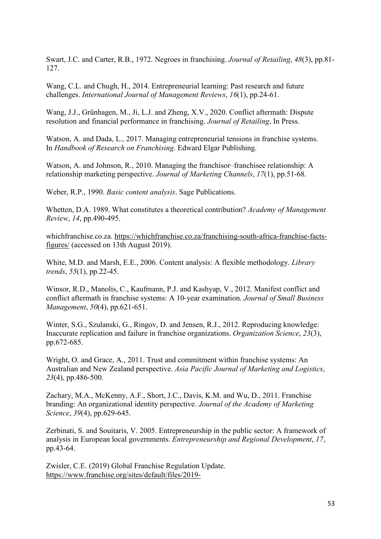Swart, J.C. and Carter, R.B., 1972. Negroes in franchising. *Journal of Retailing*, *48*(3), pp.81- 127.

Wang, C.L. and Chugh, H., 2014. Entrepreneurial learning: Past research and future challenges. *International Journal of Management Reviews*, *16*(1), pp.24-61.

Wang, J.J., Grünhagen, M., Ji, L.J. and Zheng, X.V., 2020. Conflict aftermath: Dispute resolution and financial performance in franchising. *Journal of Retailing*, In Press.

Watson, A. and Dada, L., 2017. Managing entrepreneurial tensions in franchise systems. In *Handbook of Research on Franchising*. Edward Elgar Publishing.

Watson, A. and Johnson, R., 2010. Managing the franchisor–franchisee relationship: A relationship marketing perspective. *Journal of Marketing Channels*, *17*(1), pp.51-68.

Weber, R.P., 1990. *Basic content analysis*. Sage Publications.

Whetten, D.A. 1989. What constitutes a theoretical contribution? *Academy of Management Review*, *14*, pp.490-495.

whichfranchise.co.za. [https://whichfranchise.co.za/franchising-south-africa-franchise-facts](https://whichfranchise.co.za/franchising-south-africa-franchise-facts-figures/)[figures/](https://whichfranchise.co.za/franchising-south-africa-franchise-facts-figures/) (accessed on 13th August 2019).

White, M.D. and Marsh, E.E., 2006. Content analysis: A flexible methodology. *Library trends*, *55*(1), pp.22-45.

Winsor, R.D., Manolis, C., Kaufmann, P.J. and Kashyap, V., 2012. Manifest conflict and conflict aftermath in franchise systems: A 10‐year examination. *Journal of Small Business Management*, *50*(4), pp.621-651.

Winter, S.G., Szulanski, G., Ringov, D. and Jensen, R.J., 2012. Reproducing knowledge: Inaccurate replication and failure in franchise organizations. *Organization Science*, *23*(3), pp.672-685.

Wright, O. and Grace, A., 2011. Trust and commitment within franchise systems: An Australian and New Zealand perspective. *Asia Pacific Journal of Marketing and Logistics*, *23*(4), pp.486-500.

Zachary, M.A., McKenny, A.F., Short, J.C., Davis, K.M. and Wu, D., 2011. Franchise branding: An organizational identity perspective. *Journal of the Academy of Marketing Science*, *39*(4), pp.629-645.

Zerbinati, S. and Souitaris, V. 2005. Entrepreneurship in the public sector: A framework of analysis in European local governments. *Entrepreneurship and Regional Development*, *17*, pp.43-64.

Zwisler, C.E. (2019) Global Franchise Regulation Update. [https://www.franchise.org/sites/default/files/2019-](https://www.franchise.org/sites/default/files/2019-05/%5BPUB%5D%20Global%20Franchise%20Regulation%20Update%204844-9080-8395%20v.25.pdf)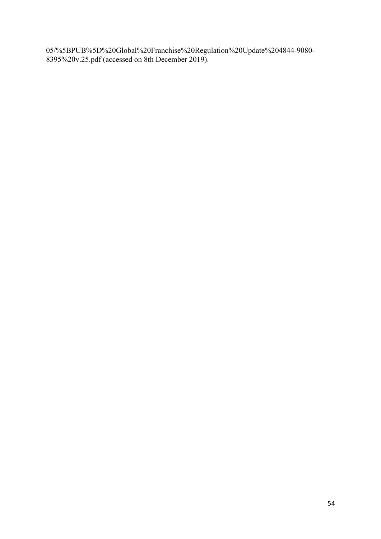[05/%5BPUB%5D%20Global%20Franchise%20Regulation%20Update%204844-9080-](https://www.franchise.org/sites/default/files/2019-05/%5BPUB%5D%20Global%20Franchise%20Regulation%20Update%204844-9080-8395%20v.25.pdf) [8395%20v.25.pdf](https://www.franchise.org/sites/default/files/2019-05/%5BPUB%5D%20Global%20Franchise%20Regulation%20Update%204844-9080-8395%20v.25.pdf) (accessed on 8th December 2019).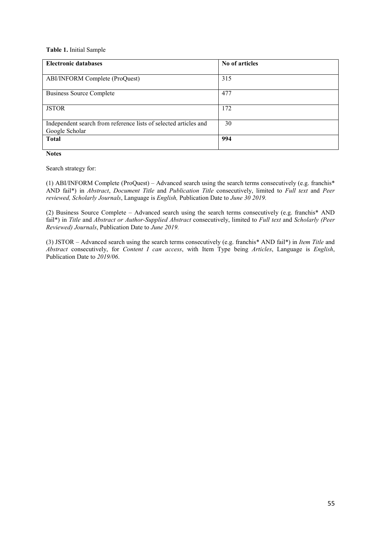#### **Table 1.** Initial Sample

| <b>Electronic databases</b>                                      | No of articles |
|------------------------------------------------------------------|----------------|
|                                                                  |                |
| ABI/INFORM Complete (ProQuest)                                   | 315            |
|                                                                  |                |
| Business Source Complete                                         | 477            |
|                                                                  |                |
| <b>JSTOR</b>                                                     | 172            |
|                                                                  |                |
| Independent search from reference lists of selected articles and | 30             |
| Google Scholar                                                   |                |
| <b>Total</b>                                                     | 994            |
|                                                                  |                |

**Notes**

Search strategy for:

(1) ABI/INFORM Complete (ProQuest) – Advanced search using the search terms consecutively (e.g. franchis\* AND fail\*) in *Abstract*, *Document Title* and *Publication Title* consecutively, limited to *Full text* and *Peer reviewed, Scholarly Journals*, Language is *English,* Publication Date to *June 30 2019.*

(2) Business Source Complete – Advanced search using the search terms consecutively (e.g. franchis\* AND fail\*) in *Title* and *Abstract or Author-Supplied Abstract* consecutively, limited to *Full text* and *Scholarly (Peer Reviewed) Journals*, Publication Date to *June 2019.*

(3) JSTOR – Advanced search using the search terms consecutively (e.g. franchis\* AND fail\*) in *Item Title* and *Abstract* consecutively, for *Content I can access*, with Item Type being *Articles*, Language is *English*, Publication Date to *2019/06*.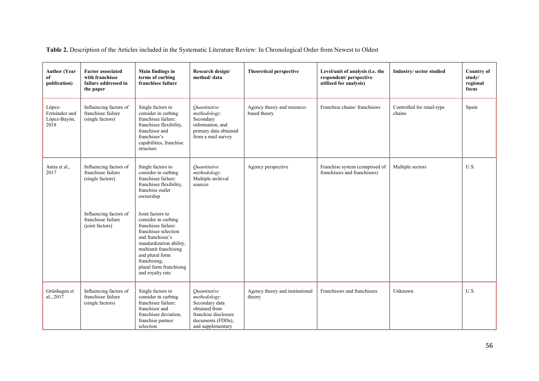**Table 2.** Description of the Articles included in the Systematic Literature Review: In Chronological Order from Newest to Oldest

| <b>Author (Year</b><br>of<br>publication)       | <b>Factor associated</b><br>with franchisee<br>failure addressed in<br>the paper | Main findings in<br>terms of curbing<br>franchisee failure                                                                                                                                                                                        | Research design/<br>method/data                                                                                                   | <b>Theoretical perspective</b>              | Level/unit of analysis (i.e. the<br>respondent/ perspective<br>utilized for analysis) | Industry/sector studied              | <b>Country of</b><br>study/<br>regional<br>focus |
|-------------------------------------------------|----------------------------------------------------------------------------------|---------------------------------------------------------------------------------------------------------------------------------------------------------------------------------------------------------------------------------------------------|-----------------------------------------------------------------------------------------------------------------------------------|---------------------------------------------|---------------------------------------------------------------------------------------|--------------------------------------|--------------------------------------------------|
| López-<br>Fernández and<br>López-Bayón,<br>2018 | Influencing factors of<br>franchisee failure<br>(single factors)                 | Single factors to<br>consider in curbing<br>franchisee failure:<br>franchisee flexibility,<br>franchisor and<br>franchisee's<br>capabilities, franchise<br>structure                                                                              | Ouantitative<br>methodology:<br>Secondary<br>information, and<br>primary data obtained<br>from a mail survey                      | Agency theory and resource-<br>based theory | Franchise chains/franchisors                                                          | Controlled for retail-type<br>chains | Spain                                            |
| Antia et al.,<br>2017                           | Influencing factors of<br>franchisee failure<br>(single factors)                 | Single factors to<br>consider in curbing<br>franchisee failure:<br>franchisee flexibility,<br>franchise outlet<br>ownership                                                                                                                       | Ouantitative<br>methodology:<br>Multiple archival<br>sources                                                                      | Agency perspective                          | Franchise system (comprised of<br>franchisees and franchisors)                        | Multiple sectors                     | U.S.                                             |
|                                                 | Influencing factors of<br>franchisee failure<br>(joint factors)                  | Joint factors to<br>consider in curbing<br>franchisee failure:<br>franchisee selection<br>and franchisee's<br>standardization ability,<br>multiunit franchising<br>and plural form<br>franchising,<br>plural form franchising<br>and royalty rate |                                                                                                                                   |                                             |                                                                                       |                                      |                                                  |
| Grünhagen et<br>al., 2017                       | Influencing factors of<br>franchisee failure<br>(single factors)                 | Single factors to<br>consider in curbing<br>franchisee failure:<br>franchisor and<br>franchisee deviation,<br>franchise partner<br>selection                                                                                                      | Ouantitative<br>methodology:<br>Secondary data<br>obtained from<br>franchise disclosure<br>documents (FDDs),<br>and supplementary | Agency theory and institutional<br>theory   | Franchisors and franchisees                                                           | Unknown                              | U.S.                                             |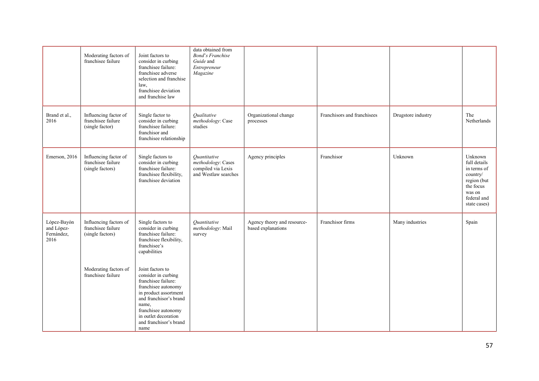|                                                 | Moderating factors of<br>franchisee failure                      | Joint factors to<br>consider in curbing<br>franchisee failure:<br>franchisee adverse<br>selection and franchise<br>law,<br>franchisee deviation<br>and franchise law                                                               | data obtained from<br><b>Bond's Franchise</b><br>Guide and<br>Entrepreneur<br>Magazine |                                                   |                             |                    |                                                                                                                         |
|-------------------------------------------------|------------------------------------------------------------------|------------------------------------------------------------------------------------------------------------------------------------------------------------------------------------------------------------------------------------|----------------------------------------------------------------------------------------|---------------------------------------------------|-----------------------------|--------------------|-------------------------------------------------------------------------------------------------------------------------|
| Brand et al.,<br>2016                           | Influencing factor of<br>franchisee failure<br>(single factor)   | Single factor to<br>consider in curbing<br>franchisee failure:<br>franchisor and<br>franchisee relationship                                                                                                                        | Qualitative<br>methodology: Case<br>studies                                            | Organizational change<br>processes                | Franchisors and franchisees | Drugstore industry | The<br>Netherlands                                                                                                      |
| Emerson, 2016                                   | Influencing factor of<br>franchisee failure<br>(single factors)  | Single factors to<br>consider in curbing<br>franchisee failure:<br>franchisee flexibility,<br>franchisee deviation                                                                                                                 | Ouantitative<br>methodology: Cases<br>compiled via Lexis<br>and Westlaw searches       | Agency principles                                 | Franchisor                  | Unknown            | Unknown<br>full details<br>in terms of<br>country/<br>region (but<br>the focus<br>was on<br>federal and<br>state cases) |
| López-Bayón<br>and López-<br>Fernández,<br>2016 | Influencing factors of<br>franchisee failure<br>(single factors) | Single factors to<br>consider in curbing<br>franchisee failure:<br>franchisee flexibility,<br>franchisee's<br>capabilities                                                                                                         | Quantitative<br>methodology: Mail<br>survey                                            | Agency theory and resource-<br>based explanations | Franchisor firms            | Many industries    | Spain                                                                                                                   |
|                                                 | Moderating factors of<br>franchisee failure                      | Joint factors to<br>consider in curbing<br>franchisee failure:<br>franchisee autonomy<br>in product assortment<br>and franchisor's brand<br>name,<br>franchisee autonomy<br>in outlet decoration<br>and franchisor's brand<br>name |                                                                                        |                                                   |                             |                    |                                                                                                                         |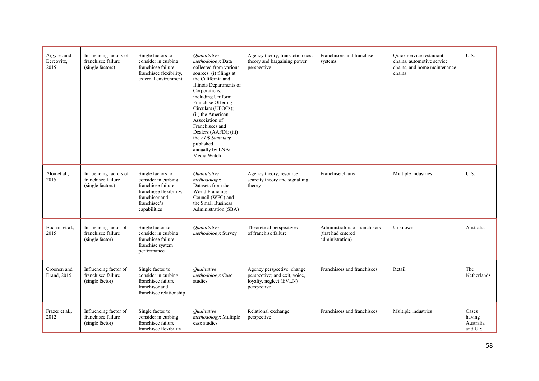| Argyres and<br>Bercovitz,<br>2015  | Influencing factors of<br>franchisee failure<br>(single factors) | Single factors to<br>consider in curbing<br>franchisee failure:<br>franchisee flexibility,<br>external environment                           | Ouantitative<br>methodology: Data<br>collected from various<br>sources: (i) filings at<br>the California and<br>Illinois Departments of<br>Corporations,<br>including Uniform<br>Franchise Offering<br>Circulars (UFOCs);<br>(ii) the American<br>Association of<br>Franchisees and<br>Dealers (AAFD); (iii)<br>the AD\$ Summary,<br>published<br>annually by LNA/<br>Media Watch | Agency theory, transaction cost<br>theory and bargaining power<br>perspective                         | Franchisors and franchise<br>systems                                  | Ouick-service restaurant<br>chains, automotive service<br>chains, and home maintenance<br>chains | U.S.                                     |
|------------------------------------|------------------------------------------------------------------|----------------------------------------------------------------------------------------------------------------------------------------------|-----------------------------------------------------------------------------------------------------------------------------------------------------------------------------------------------------------------------------------------------------------------------------------------------------------------------------------------------------------------------------------|-------------------------------------------------------------------------------------------------------|-----------------------------------------------------------------------|--------------------------------------------------------------------------------------------------|------------------------------------------|
| Alon et al.,<br>2015               | Influencing factors of<br>franchisee failure<br>(single factors) | Single factors to<br>consider in curbing<br>franchisee failure:<br>franchisee flexibility,<br>franchisor and<br>franchisee's<br>capabilities | Ouantitative<br>methodology:<br>Datasets from the<br>World Franchise<br>Council (WFC) and<br>the Small Business<br>Administration (SBA)                                                                                                                                                                                                                                           | Agency theory, resource<br>scarcity theory and signalling<br>theory                                   | Franchise chains                                                      | Multiple industries                                                                              | U.S.                                     |
| Buchan et al.,<br>2015             | Influencing factor of<br>franchisee failure<br>(single factor)   | Single factor to<br>consider in curbing<br>franchisee failure:<br>franchise system<br>performance                                            | Ouantitative<br>methodology: Survey                                                                                                                                                                                                                                                                                                                                               | Theoretical perspectives<br>of franchise failure                                                      | Administrators of franchisors<br>(that had entered<br>administration) | Unknown                                                                                          | Australia                                |
| Croonen and<br><b>Brand</b> , 2015 | Influencing factor of<br>franchisee failure<br>(single factor)   | Single factor to<br>consider in curbing<br>franchisee failure:<br>franchisor and<br>franchisee relationship                                  | <i><u><b>Oualitative</b></u></i><br>methodology: Case<br>studies                                                                                                                                                                                                                                                                                                                  | Agency perspective; change<br>perspective; and exit, voice,<br>loyalty, neglect (EVLN)<br>perspective | Franchisors and franchisees                                           | Retail                                                                                           | The<br>Netherlands                       |
| Frazer et al.,<br>2012             | Influencing factor of<br>franchisee failure<br>(single factor)   | Single factor to<br>consider in curbing<br>franchisee failure:<br>franchisee flexibility                                                     | <i><u><b>Oualitative</b></u></i><br>methodology: Multiple<br>case studies                                                                                                                                                                                                                                                                                                         | Relational exchange<br>perspective                                                                    | Franchisors and franchisees                                           | Multiple industries                                                                              | Cases<br>having<br>Australia<br>and U.S. |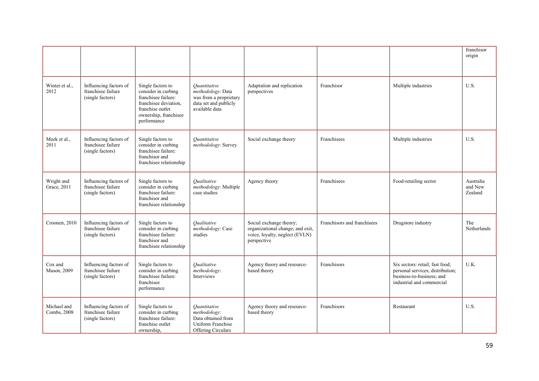|                            |                                                                  |                                                                                                                                                      |                                                                                                        |                                                                                                              |                             |                                                                                                                               | franchisor<br>origin            |
|----------------------------|------------------------------------------------------------------|------------------------------------------------------------------------------------------------------------------------------------------------------|--------------------------------------------------------------------------------------------------------|--------------------------------------------------------------------------------------------------------------|-----------------------------|-------------------------------------------------------------------------------------------------------------------------------|---------------------------------|
| Winter et al.,<br>2012     | Influencing factors of<br>franchisee failure<br>(single factors) | Single factors to<br>consider in curbing<br>franchisee failure:<br>franchisee deviation,<br>franchise outlet<br>ownership, franchisee<br>performance | Ouantitative<br>methodology: Data<br>was from a proprietary<br>data set and publicly<br>available data | Adaptation and replication<br>perspectives                                                                   | Franchisor                  | Multiple industries                                                                                                           | U.S.                            |
| Meek et al.,<br>2011       | Influencing factors of<br>franchisee failure<br>(single factors) | Single factors to<br>consider in curbing<br>franchisee failure:<br>franchisor and<br>franchisee relationship                                         | Ouantitative<br>methodology: Survey                                                                    | Social exchange theory                                                                                       | Franchisees                 | Multiple industries                                                                                                           | U.S.                            |
| Wright and<br>Grace, 2011  | Influencing factors of<br>franchisee failure<br>(single factors) | Single factors to<br>consider in curbing<br>franchisee failure:<br>franchisor and<br>franchisee relationship                                         | Oualitative<br>methodology: Multiple<br>case studies                                                   | Agency theory                                                                                                | Franchisees                 | Food-retailing sector                                                                                                         | Australia<br>and New<br>Zealand |
| Croonen, 2010              | Influencing factors of<br>franchisee failure<br>(single factors) | Single factors to<br>consider in curbing<br>franchisee failure:<br>franchisor and<br>franchisee relationship                                         | Oualitative<br>methodology: Case<br>studies                                                            | Social exchange theory;<br>organizational change; and exit,<br>voice, loyalty, neglect (EVLN)<br>perspective | Franchisors and franchisees | Drugstore industry                                                                                                            | The<br>Netherlands              |
| Cox and<br>Mason, 2009     | Influencing factors of<br>franchisee failure<br>(single factors) | Single factors to<br>consider in curbing<br>franchisee failure:<br>franchisee<br>performance                                                         | Qualitative<br>methodology:<br>Interviews                                                              | Agency theory and resource-<br>based theory                                                                  | Franchisors                 | Six sectors: retail; fast food;<br>personal services; distribution;<br>business-to-business; and<br>industrial and commercial | U.K.                            |
| Michael and<br>Combs, 2008 | Influencing factors of<br>franchisee failure<br>(single factors) | Single factors to<br>consider in curbing<br>franchisee failure:<br>franchise outlet<br>ownership,                                                    | Quantitative<br>methodology:<br>Data obtained from<br>Uniform Franchise<br>Offering Circulars          | Agency theory and resource-<br>based theory                                                                  | Franchisors                 | Restaurant                                                                                                                    | U.S.                            |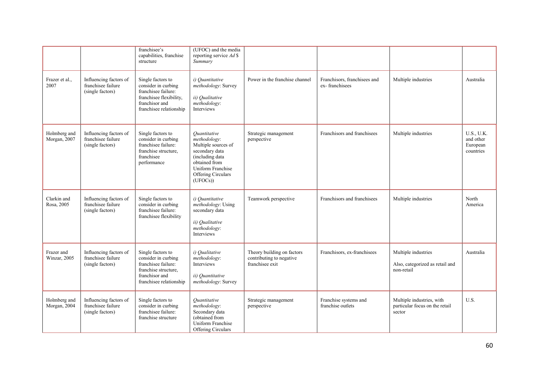|                              |                                                                  | franchisee's<br>capabilities, franchise<br>structure                                                                                    | (UFOC) and the media<br>reporting service Ad \$<br>Summary                                                                                                      |                                                                           |                                                |                                                                       |                                                         |
|------------------------------|------------------------------------------------------------------|-----------------------------------------------------------------------------------------------------------------------------------------|-----------------------------------------------------------------------------------------------------------------------------------------------------------------|---------------------------------------------------------------------------|------------------------------------------------|-----------------------------------------------------------------------|---------------------------------------------------------|
| Frazer et al.,<br>2007       | Influencing factors of<br>franchisee failure<br>(single factors) | Single factors to<br>consider in curbing<br>franchisee failure:<br>franchisee flexibility,<br>franchisor and<br>franchisee relationship | i) Quantitative<br>methodology: Survey<br>ii) Qualitative<br>methodology:<br>Interviews                                                                         | Power in the franchise channel                                            | Franchisors, franchisees and<br>ex-franchisees | Multiple industries                                                   | Australia                                               |
| Holmberg and<br>Morgan, 2007 | Influencing factors of<br>franchisee failure<br>(single factors) | Single factors to<br>consider in curbing<br>franchisee failure:<br>franchise structure.<br>franchisee<br>performance                    | Ouantitative<br>methodology:<br>Multiple sources of<br>secondary data<br>(including data<br>obtained from<br>Uniform Franchise<br>Offering Circulars<br>(UFOCs) | Strategic management<br>perspective                                       | Franchisors and franchisees                    | Multiple industries                                                   | <b>U.S., U.K.</b><br>and other<br>European<br>countries |
| Clarkin and<br>Rosa, 2005    | Influencing factors of<br>franchisee failure<br>(single factors) | Single factors to<br>consider in curbing<br>franchisee failure:<br>franchisee flexibility                                               | i) Ouantitative<br>methodology: Using<br>secondary data<br>ii) Qualitative<br>methodology:<br>Interviews                                                        | Teamwork perspective                                                      | Franchisors and franchisees                    | Multiple industries                                                   | North<br>America                                        |
| Frazer and<br>Winzar, 2005   | Influencing factors of<br>franchisee failure<br>(single factors) | Single factors to<br>consider in curbing<br>franchisee failure:<br>franchise structure.<br>franchisor and<br>franchisee relationship    | i) Qualitative<br>methodology:<br>Interviews<br>ii) Quantitative<br>methodology: Survey                                                                         | Theory building on factors<br>contributing to negative<br>franchisee exit | Franchisors, ex-franchisees                    | Multiple industries<br>Also, categorized as retail and<br>non-retail  | Australia                                               |
| Holmberg and<br>Morgan, 2004 | Influencing factors of<br>franchisee failure<br>(single factors) | Single factors to<br>consider in curbing<br>franchisee failure:<br>franchise structure                                                  | Ouantitative<br>methodology:<br>Secondary data<br>(obtained from<br>Uniform Franchise<br>Offering Circulars                                                     | Strategic management<br>perspective                                       | Franchise systems and<br>franchise outlets     | Multiple industries, with<br>particular focus on the retail<br>sector | U.S.                                                    |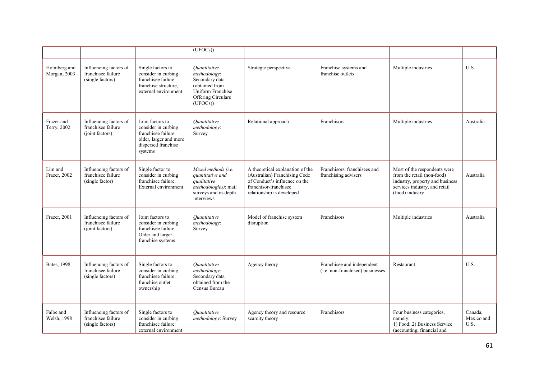|                              |                                                                  |                                                                                                                            | $(\overline{UFOCs})$                                                                                                                 |                                                                                                                                                          |                                                                |                                                                                                                                                   |                               |
|------------------------------|------------------------------------------------------------------|----------------------------------------------------------------------------------------------------------------------------|--------------------------------------------------------------------------------------------------------------------------------------|----------------------------------------------------------------------------------------------------------------------------------------------------------|----------------------------------------------------------------|---------------------------------------------------------------------------------------------------------------------------------------------------|-------------------------------|
| Holmberg and<br>Morgan, 2003 | Influencing factors of<br>franchisee failure<br>(single factors) | Single factors to<br>consider in curbing<br>franchisee failure:<br>franchise structure,<br>external environment            | <i><u>Ouantitative</u></i><br>methodology:<br>Secondary data<br>(obtained from<br>Uniform Franchise<br>Offering Circulars<br>(UFOCs) | Strategic perspective                                                                                                                                    | Franchise systems and<br>franchise outlets                     | Multiple industries                                                                                                                               | U.S.                          |
| Frazer and<br>Terry, 2002    | Influencing factors of<br>franchisee failure<br>(joint factors)  | Joint factors to<br>consider in curbing<br>franchisee failure:<br>older, larger and more<br>dispersed franchise<br>systems | Ouantitative<br>methodology:<br>Survey                                                                                               | Relational approach                                                                                                                                      | Franchisors                                                    | Multiple industries                                                                                                                               | Australia                     |
| Lim and<br>Frazer, 2002      | Influencing factors of<br>franchisee failure<br>(single factor)  | Single factor to<br>consider in curbing<br>franchisee failure:<br>External environment                                     | Mixed methods (i.e.<br>quantitative and<br>qualitative<br>methodologies): mail<br>surveys and in-depth<br>interviews                 | A theoretical explanation of the<br>(Australian) Franchising Code<br>of Conduct's influence on the<br>franchisor-franchisee<br>relationship is developed | Franchisors, franchisees and<br>franchising advisers           | Most of the respondents were<br>from the retail (non-food)<br>industry, property and business<br>services industry, and retail<br>(food) industry | Australia                     |
| Frazer, 2001                 | Influencing factors of<br>franchisee failure<br>(joint factors)  | Joint factors to<br>consider in curbing<br>franchisee failure:<br>Older and larger<br>franchise systems                    | Ouantitative<br>methodology:<br>Survey                                                                                               | Model of franchise system<br>disruption                                                                                                                  | Franchisors                                                    | Multiple industries                                                                                                                               | Australia                     |
| <b>Bates</b> , 1998          | Influencing factors of<br>franchisee failure<br>(single factors) | Single factors to<br>consider in curbing<br>franchisee failure:<br>franchise outlet<br>ownership                           | Ouantitative<br>methodology:<br>Secondary data<br>obtained from the<br>Census Bureau                                                 | Agency theory                                                                                                                                            | Franchisee and independent<br>(i.e. non-franchised) businesses | Restaurant                                                                                                                                        | U.S.                          |
| Falbe and<br>Welsh, 1998     | Influencing factors of<br>franchisee failure<br>(single factors) | Single factors to<br>consider in curbing<br>franchisee failure:<br>external environment                                    | <i><u>Ouantitative</u></i><br>methodology: Survey                                                                                    | Agency theory and resource<br>scarcity theory                                                                                                            | Franchisors                                                    | Four business categories,<br>namely:<br>1) Food; 2) Business Service<br>(accounting, financial and                                                | Canada.<br>Mexico and<br>U.S. |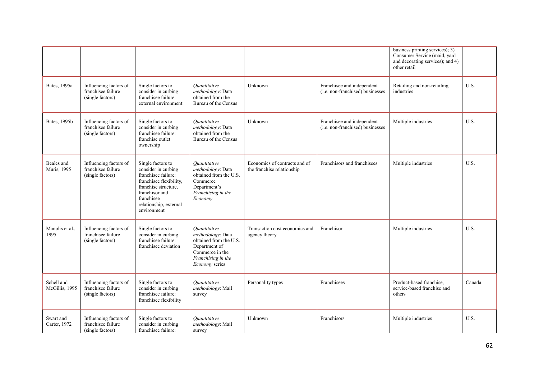|                                   |                                                                  |                                                                                                                                                                                             |                                                                                                                                         |                                                             |                                                                | business printing services); 3)<br>Consumer Service (maid, yard<br>and decorating services); and 4)<br>other retail |        |
|-----------------------------------|------------------------------------------------------------------|---------------------------------------------------------------------------------------------------------------------------------------------------------------------------------------------|-----------------------------------------------------------------------------------------------------------------------------------------|-------------------------------------------------------------|----------------------------------------------------------------|---------------------------------------------------------------------------------------------------------------------|--------|
| Bates, 1995a                      | Influencing factors of<br>franchisee failure<br>(single factors) | Single factors to<br>consider in curbing<br>franchisee failure:<br>external environment                                                                                                     | <i><u>Ouantitative</u></i><br>methodology: Data<br>obtained from the<br>Bureau of the Census                                            | Unknown                                                     | Franchisee and independent<br>(i.e. non-franchised) businesses | Retailing and non-retailing<br>industries                                                                           | U.S.   |
| Bates, 1995b                      | Influencing factors of<br>franchisee failure<br>(single factors) | Single factors to<br>consider in curbing<br>franchisee failure:<br>franchise outlet<br>ownership                                                                                            | <i><u>Ouantitative</u></i><br>methodology: Data<br>obtained from the<br>Bureau of the Census                                            | Unknown                                                     | Franchisee and independent<br>(i.e. non-franchised) businesses | Multiple industries                                                                                                 | U.S.   |
| Beales and<br><b>Muris</b> , 1995 | Influencing factors of<br>franchisee failure<br>(single factors) | Single factors to<br>consider in curbing<br>franchisee failure:<br>franchisee flexibility,<br>franchise structure,<br>franchisor and<br>franchisee<br>relationship, external<br>environment | Quantitative<br>methodology: Data<br>obtained from the U.S.<br>Commerce<br>Department's<br>Franchising in the<br>Economy                | Economics of contracts and of<br>the franchise relationship | Franchisors and franchisees                                    | Multiple industries                                                                                                 | U.S.   |
| Manolis et al.,<br>1995           | Influencing factors of<br>franchisee failure<br>(single factors) | Single factors to<br>consider in curbing<br>franchisee failure:<br>franchisee deviation                                                                                                     | Ouantitative<br>methodology: Data<br>obtained from the U.S.<br>Department of<br>Commerce in the<br>Franchising in the<br>Economy series | Transaction cost economics and<br>agency theory             | Franchisor                                                     | Multiple industries                                                                                                 | U.S.   |
| Schell and<br>McGillis, 1995      | Influencing factors of<br>franchisee failure<br>(single factors) | Single factors to<br>consider in curbing<br>franchisee failure:<br>franchisee flexibility                                                                                                   | <i><u>Ouantitative</u></i><br>methodology: Mail<br>survey                                                                               | Personality types                                           | Franchisees                                                    | Product-based franchise,<br>service-based franchise and<br>others                                                   | Canada |
| Swart and<br>Carter, 1972         | Influencing factors of<br>franchisee failure<br>(single factors) | Single factors to<br>consider in curbing<br>franchisee failure:                                                                                                                             | <i><u>Ouantitative</u></i><br>methodology: Mail<br>survey                                                                               | Unknown                                                     | Franchisors                                                    | Multiple industries                                                                                                 | U.S.   |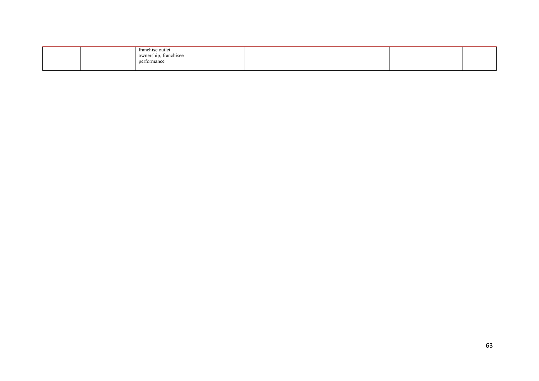|  | franchise outlet<br>$\cdots$<br>ownership, franchisee<br>performance |  |  |  |
|--|----------------------------------------------------------------------|--|--|--|
|  |                                                                      |  |  |  |